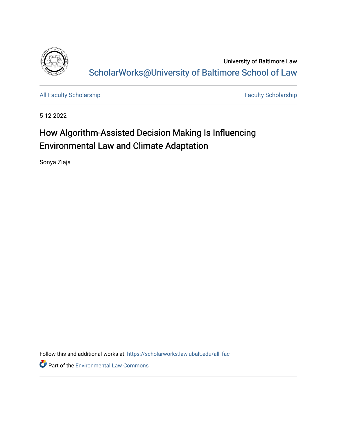

University of Baltimore Law [ScholarWorks@University of Baltimore School of Law](https://scholarworks.law.ubalt.edu/) 

[All Faculty Scholarship](https://scholarworks.law.ubalt.edu/all_fac) [Faculty Scholarship](https://scholarworks.law.ubalt.edu/faculty) Faculty Scholarship

5-12-2022

# How Algorithm-Assisted Decision Making Is Influencing Environmental Law and Climate Adaptation

Sonya Ziaja

Follow this and additional works at: [https://scholarworks.law.ubalt.edu/all\\_fac](https://scholarworks.law.ubalt.edu/all_fac?utm_source=scholarworks.law.ubalt.edu%2Fall_fac%2F1169&utm_medium=PDF&utm_campaign=PDFCoverPages)

**Part of the [Environmental Law Commons](https://network.bepress.com/hgg/discipline/599?utm_source=scholarworks.law.ubalt.edu%2Fall_fac%2F1169&utm_medium=PDF&utm_campaign=PDFCoverPages)**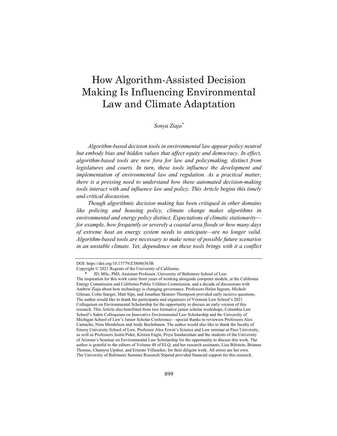## How Algorithm-Assisted Decision Making Is Influencing Environmental Law and Climate Adaptation

*Sonya Ziaja\**

*Algorithm-based decision tools in environmental law appear policy neutral*  but embody bias and hidden values that affect equity and democracy. In effect, *algorithm-based tools are new fora for law and policymaking, distinct from*  legislatures and courts. In turn, these tools influence the development and *implementation of environmental law and regulation. As a practical matter, there is a pressing need to understand how these automated decision-making tools interact with and influence law and policy. This Article begins this timely and critical discussion.*

*Though algorithmic decision making has been critiqued in other domains like policing and housing policy, climate change makes algorithms in environmental and energy policy distinct. Expectations of climatic stationarity for example, how frequently or severely a coastal area floods or how many days of extreme heat an energy system needs to anticipate—are no longer valid. Algorithm-based tools are necessary to make sense of possible future scenarios in an unstable climate. Yet, dependence on these tools brings with it a conflict* 

DOI: https://doi.org/10.15779/Z38086363B

Copyright © 2021 Regents of the University of California .

 <sup>\*</sup> JD, MSc, PhD, Assistant Professor, University of Baltimore School of Law. The inspiration for this work came from years of working alongside computer models, at the California Energy Commission and California Public Utilities Commission, and a decade of discussions with Andrew Ziaja about how technology is changing governance. Professors Helen Ingram, Michele Gilman, Colin Starger, Matt Sipe, and Jonathan Skinner-Thompson provided early incisive questions. The author would like to thank the participants and organizers of Vermont Law School's 2021 Colloquium on Environmental Scholarship for the opportunity to discuss an early version of this research. This Article also benefitted from two formative junior scholar workshops, Columbia Law School's Sabin Colloquium on Innovative Environmental Law Scholarship and the University of Michigan School of Law's Junior Scholar Conference—special thanks to reviewers Professors Alex Camacho, Nina Mendelson and Andy Buchsbaum. The author would also like to thank the faculty of Emory University School of Law, Professor Alex Erwin's Science and Law seminar at Pace University, as well as Professors Justin Pidot, Kirsten Engle, Priya Sundareshan and the students of the University of Arizona's Seminar on Environmental Law Scholarship for the opportunity to discuss this work. The author is grateful to the editors of Volume 48 of ELQ, and her research assistants, Lisa Biltstein, Brianna Thomas, Chamyra Upshur, and Ernesto Villaseñor, for their diligent work. All errors are her own. The University of Baltimore Summer Research Stipend provided financial support for this research.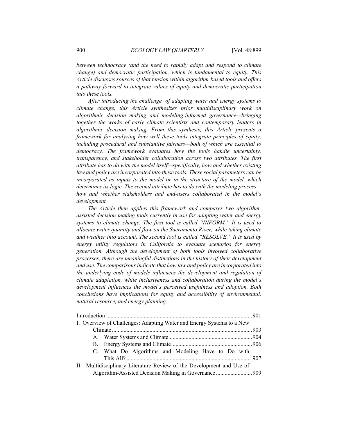*between technocracy (and the need to rapidly adapt and respond to climate change) and democratic participation, which is fundamental to equity. This Article discusses sources of that tension within algorithm-based tools and offers a pathway forward to integrate values of equity and democratic participation into these tools.*

*After introducing the challenge of adapting water and energy systems to climate change, this Article synthesizes prior multidisciplinary work on algorithmic decision making and modeling-informed governance—bringing*  together the works of early climate scientists and contemporary leaders in *algorithmic decision making. From this synthesis, this Article presents a framework for analyzing how well these tools integrate principles of equity, including procedural and substantive fairness—both of which are essential to democracy. The framework evaluates how the tools handle uncertainty, transparency, and stakeholder collaboration across two attributes. The first attribute has to do with the model itself—specifically, how and whether existing*  law and policy are incorporated into these tools. These social parameters can be *incorporated as inputs to the model or in the structure of the model, which determines its logic. The second attribute has to do with the modeling process how and whether stakeholders and end-users collaborated in the model's development.*

*The Article then applies this framework and compares two algorithmassisted decision-making tools currently in use for adapting water and energy systems to climate change. The first tool is called "INFORM." It is used to allocate water quantity and flow on the Sacramento River, while taking climate and weather into account. The second tool is called "RESOLVE." It is used by energy utility regulators in California to evaluate scenarios for energy generation. Although the development of both tools involved collaborative processes, there are meaningful distinctions in the history of their development and use. The comparisons indicate that how law and policy are incorporated into the underlying code of models influences the development and regulation of climate adaptation, while inclusiveness and collaboration during the model's development influences the model's perceived usefulness and adoption. Both conclusions have implications for equity and accessibility of environmental, natural resource, and energy planning.*

|  |                                                                       | I. Overview of Challenges: Adapting Water and Energy Systems to a New |  |
|--|-----------------------------------------------------------------------|-----------------------------------------------------------------------|--|
|  |                                                                       |                                                                       |  |
|  |                                                                       |                                                                       |  |
|  |                                                                       |                                                                       |  |
|  |                                                                       | C. What Do Algorithms and Modeling Have to Do with                    |  |
|  |                                                                       |                                                                       |  |
|  | II. Multidisciplinary Literature Review of the Development and Use of |                                                                       |  |
|  | Algorithm-Assisted Decision Making in Governance  909                 |                                                                       |  |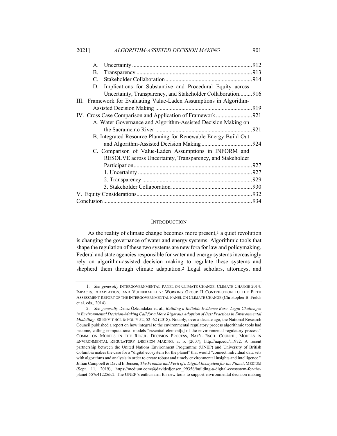| А.                                                                  |                                                                |  |  |  |
|---------------------------------------------------------------------|----------------------------------------------------------------|--|--|--|
| В.                                                                  |                                                                |  |  |  |
| $C_{\cdot}$                                                         |                                                                |  |  |  |
| D.                                                                  | Implications for Substantive and Procedural Equity across      |  |  |  |
|                                                                     | Uncertainty, Transparency, and Stakeholder Collaboration 916   |  |  |  |
| III. Framework for Evaluating Value-Laden Assumptions in Algorithm- |                                                                |  |  |  |
|                                                                     |                                                                |  |  |  |
|                                                                     | IV. Cross Case Comparison and Application of Framework  921    |  |  |  |
|                                                                     | A. Water Governance and Algorithm-Assisted Decision Making on  |  |  |  |
|                                                                     |                                                                |  |  |  |
|                                                                     | B. Integrated Resource Planning for Renewable Energy Build Out |  |  |  |
|                                                                     |                                                                |  |  |  |
|                                                                     | C. Comparison of Value-Laden Assumptions in INFORM and         |  |  |  |
|                                                                     | RESOLVE across Uncertainty, Transparency, and Stakeholder      |  |  |  |
|                                                                     |                                                                |  |  |  |
|                                                                     |                                                                |  |  |  |
|                                                                     |                                                                |  |  |  |
|                                                                     |                                                                |  |  |  |
|                                                                     |                                                                |  |  |  |
|                                                                     |                                                                |  |  |  |

#### **INTRODUCTION**

As the reality of climate change becomes more present, $<sup>1</sup>$  a quiet revolution</sup> is changing the governance of water and energy systems. Algorithmic tools that shape the regulation of these two systems are new fora for law and policymaking. Federal and state agencies responsible for water and energy systems increasingly rely on algorithm-assisted decision making to regulate these systems and shepherd them through climate adaptation.2 Legal scholars, attorneys, and

<sup>1.</sup> *See generally* INTERGOVERNMENTAL PANEL ON CLIMATE CHANGE, CLIMATE CHANGE 2014: IMPACTS, ADAPTATION, AND VULNERABILITY: WORKING GROUP II CONTRIBUTION TO THE FIFTH ASSESSMENT REPORT OF THE INTERGOVERNMENTAL PANEL ON CLIMATE CHANGE (Christopher B. Fields et al. eds., 2014).

<sup>2.</sup> *See generally* Deniz Özkundakci et. al., *Building a Reliable Evidence Base Legal Challenges in Environmental Decision-Making Call for a More Rigorous Adoption of Best Practices in Environmental Modelling*, 88 ENV'T SCI. & POL'Y 52, 52–62 (2018). Notably, over a decade ago, the National Research Council published a report on how integral to the environmental regulatory process algorithmic tools had become, calling computational models "essential element[s] of the environmental regulatory process." COMM. ON MODELS IN THE REGUL. DECISION PROCESS, NAT'L RSCH. COUNCIL, MODELS IN ENVIRONMENTAL REGULATORY DECISION MAKING, at ix (2007), http://nap.edu/11972. A recent partnership between the United Nations Environment Programme (UNEP) and University of British Columbia makes the case for a "digital ecosystem for the planet" that would "connect individual data sets with algorithms and analysis in order to create robust and timely environmental insights and intelligence." Jillian Campbell & David E. Jensen, *The Promise and Peril of a Digital Ecosystem for the Planet*, MEDIUM (Sept. 11, 2019), https://medium.com/@davidedjensen\_99356/building-a-digital-ecosystem-for-theplanet-557c41225dc2. The UNEP's enthusiasm for new tools to support environmental decision making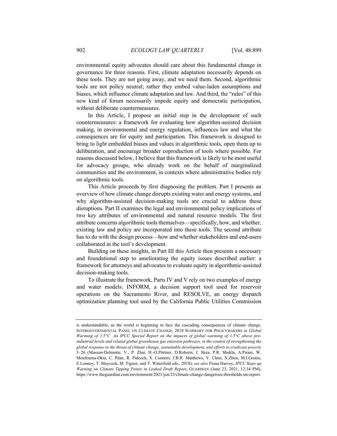environmental equity advocates should care about this fundamental change in governance for three reasons. First, climate adaptation necessarily depends on these tools. They are not going away, and we need them. Second, algorithmic tools are not policy neutral; rather they embed value-laden assumptions and biases, which influence climate adaptation and law. And third, the "rules" of this new kind of forum necessarily impede equity and democratic participation, without deliberate countermeasures.

In this Article, I propose an initial step in the development of such countermeasures: a framework for evaluating how algorithm-assisted decision making, in environmental and energy regulation, influences law and what the consequences are for equity and participation. This framework is designed to bring to light embedded biases and values in algorithmic tools, open them up to deliberation, and encourage broader coproduction of tools where possible. For reasons discussed below, I believe that this framework is likely to be most useful for advocacy groups, who already work on the behalf of marginalized communities and the environment, in contexts where administrative bodies rely on algorithmic tools.

This Article proceeds by first diagnosing the problem. Part I presents an overview of how climate change disrupts existing water and energy systems, and why algorithm-assisted decision-making tools are crucial to address these disruptions. Part II examines the legal and environmental policy implications of two key attributes of environmental and natural resource models. The first attribute concerns algorithmic tools themselves—specifically, how, and whether, existing law and policy are incorporated into these tools. The second attribute has to do with the design process—how and whether stakeholders and end-users collaborated in the tool's development.

Building on these insights, in Part III this Article then presents a necessary and foundational step to ameliorating the equity issues described earlier: a framework for attorneys and advocates to evaluate equity in algorithmic-assisted decision-making tools.

To illustrate the framework, Parts IV and V rely on two examples of energy and water models: INFORM, a decision support tool used for reservoir operations on the Sacramento River, and RESOLVE, an energy dispatch optimization planning tool used by the California Public Utilities Commission

is understandable, as the world is beginning to face the cascading consequences of climate change. INTERGOVERNMENTAL PANEL ON CLIMATE CHANGE, 2018 SUMMARY FOR POLICYMAKERS *in Global Warming of 1.5°C An IPCC Special Report on the impacts of global warming of 1.5°C above preindustrial levels and related global greenhouse gas emission pathways, in the context of strengthening the global response to the threat of climate change, sustainable development, and efforts to eradicate poverty* 3–26 (Masson-Delmotte, V., P. Zhai, H.-O.Pörtner, D.Roberts, J. Skea, P.R. Shukla, A.Pirani, W. Moufouma-Okia, C. Péan, R. Pidcock, S. Connors, J.B.R. Matthews, Y. Chen, X.Zhou, M.I.Gomis, E.Lonnoy, T. Maycock, M. Tignor, and T. Waterfield eds., 2018); *see also* Fiona Harvey, *IPCC Steps up Warning on Climate Tipping Points in Leaked Draft Report*, GUARDIAN (June 23, 2021, 12:34 PM), https://www.theguardian.com/environment/2021/jun/23/climate-change-dangerous-thresholds-un-report.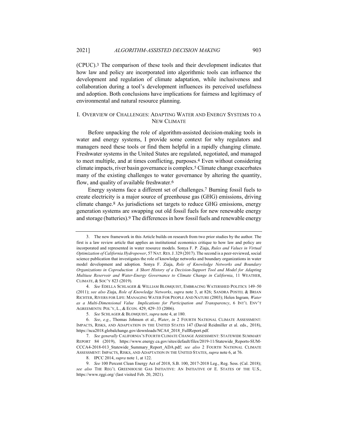(CPUC).3 The comparison of these tools and their development indicates that how law and policy are incorporated into algorithmic tools can influence the development and regulation of climate adaptation, while inclusiveness and collaboration during a tool's development influences its perceived usefulness and adoption. Both conclusions have implications for fairness and legitimacy of environmental and natural resource planning.

## I. OVERVIEW OF CHALLENGES: ADAPTING WATER AND ENERGY SYSTEMS TO A NEW CLIMATE

Before unpacking the role of algorithm-assisted decision-making tools in water and energy systems, I provide some context for why regulators and managers need these tools or find them helpful in a rapidly changing climate. Freshwater systems in the United States are regulated, negotiated, and managed to meet multiple, and at times conflicting, purposes.4 Even without considering climate impacts, river basin governance is complex.5 Climate change exacerbates many of the existing challenges to water governance by altering the quantity, flow, and quality of available freshwater.6

Energy systems face a different set of challenges.7 Burning fossil fuels to create electricity is a major source of greenhouse gas (GHG) emissions, driving climate change.8 As jurisdictions set targets to reduce GHG emissions, energy generation systems are swapping out old fossil fuels for new renewable energy and storage (batteries).9 The differences in how fossil fuels and renewable energy

<sup>3.</sup> The new framework in this Article builds on research from two prior studies by the author. The first is a law review article that applies an institutional economics critique to how law and policy are incorporated and represented in water resource models. Sonya F. P. Ziaja, *Rules and Values in Virtual Optimization of California Hydropower*, 57 NAT.RES.J. 329 (2017). The second is a peer-reviewed, social science publication that investigates the role of knowledge networks and boundary organizations in water model development and adoption. Sonya F. Ziaja, *Role of Knowledge Networks and Boundary Organizations in Coproduction A Short History of a Decision-Support Tool and Model for Adapting Multiuse Reservoir and Water-Energy Governance to Climate Change in California*, 11 WEATHER, CLIMATE, & SOC'Y 823 (2019).

<sup>4.</sup> *See* EDELLA SCHLAGER & WILLIAM BLOMQUIST, EMBRACING WATERSHED POLITICS 149–50 (2011); *see also* Ziaja, *Role of Knowledge Networks*, *supra* note 3, at 826; SANDRA POSTEL & BRIAN RICHTER, RIVERS FOR LIFE: MANAGING WATER FOR PEOPLE AND NATURE (2003); Helen Ingram*, Water as a Multi-Dimensional Value Implications for Participation and Transparency*, 6 INT'L ENV'T AGREEMENTS: POL'Y, L., & ECON. 429, 429–33 (2006).

<sup>5.</sup> *See* SCHLAGER & BLOMQUIST, *supra* note 4, at 180.

<sup>6.</sup> *See*, *e.g.*, Thomas Johnson et al., *Water*, *in* 2 FOURTH NATIONAL CLIMATE ASSESSMENT: IMPACTS, RISKS, AND ADAPTATION IN THE UNITED STATES 147 (David Reidmiller et al. eds., 2018), https://nca2018.globalchange.gov/downloads/NCA4\_2018\_FullReport.pdf.

<sup>7.</sup> *See generally* CALIFORNIA'S FOURTH CLIMATE CHANGE ASSESSMENT: STATEWIDE SUMMARY REPORT 84 (2019), https://www.energy.ca.gov/sites/default/files/2019-11/Statewide\_Reports-SUM-CCCA4-2018-013\_Statewide\_Summary\_Report\_ADA.pdf; *see also* 2 FOURTH NATIONAL CLIMATE ASSESSMENT: IMPACTS, RISKS, AND ADAPTATION IN THE UNITED STATES, *supra* note 6, at 76.

<sup>8.</sup> IPCC 2014, *supra* note 1, at 122.

<sup>9.</sup> *See* 100 Percent Clean Energy Act of 2018, S.B. 100, 2017-2018 Leg., Reg. Sess. (Cal. 2018); *see also* THE REG'L GREENHOUSE GAS INITIATIVE: AN INITIATIVE OF E. STATES OF THE U.S., https://www.rggi.org/ (last visited Feb. 20, 2021).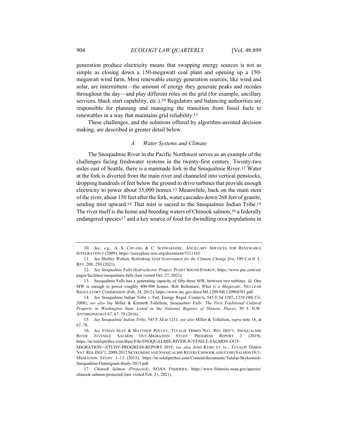generation produce electricity means that swapping energy sources is not as simple as closing down a 150-megawatt coal plant and opening up a 150 megawatt wind farm. Most renewable energy generation sources, like wind and solar, are intermittent—the amount of energy they generate peaks and recedes throughout the day—and play different roles on the grid (for example, ancillary services, black start capability, etc.).10 Regulators and balancing authorities are responsible for planning and managing the transition from fossil fuels to renewables in a way that maintains grid reliability.11

These challenges, and the solutions offered by algorithm-assisted decision making, are described in greater detail below.

#### *A. Water Systems and Climate*

The Snoqualmie River in the Pacific Northwest serves as an example of the challenges facing freshwater systems in the twenty-first century. Twenty-two miles east of Seattle, there is a manmade fork in the Snoqualmie River.12 Water at the fork is diverted from the main river and channeled into vertical penstocks, dropping hundreds of feet below the ground to drive turbines that provide enough electricity to power about 35,000 homes.13 Meanwhile, back on the main stem of the river, about 150 feet after the fork, water cascades down 268 feet of granite, sending mist upward.<sup>14</sup> That mist is sacred to the Snoqualmie Indian Tribe.<sup>15</sup> The river itself is the home and breeding waters of Chinook salmon,<sup>16</sup> a federally endangered species17 and a key source of food for dwindling orca populations in

<sup>10.</sup> *See*, *e.g.*, A. S. CHUANG & C. SCHWAEGERL, ANCILLARY SERVICES FOR RENEWABLE INTEGRATION 1 (2009), https://ieeexplore.ieee.org/document/5211165.

<sup>11.</sup> *See* Shelley Welton, *Rethinking Grid Governance for the Climate Change Era*, 109 CALIF. L. REV. 209, 250 (2021).

<sup>12.</sup> *See Snoqualmie Falls Hydroelectric Project*, PUGET SOUND ENERGY, https://www.pse.com/en/ pages/facilities/snoqualmie-falls (last visited Oct. 27, 2021).

<sup>13.</sup> Snoqualmie Falls has a generating capacity of fifty-three MW, between two turbines. *Id.* One MW is enough to power roughly 400-900 homes. Bob Bellemare, *What is a Megawatt.*, NUCLEAR REGULATORY COMMISSION (Feb, 24, 2012), https://www.nrc.gov/docs/ML1209/ML120960701.pdf.

<sup>14.</sup> *See* Snoqualmie Indian Tribe v. Fed. Energy Regul. Comm'n, 545 F.3d 1207, 1210 (9th Cir. 2008); *see also* Jay Miller & Kenneth Tollefson, *Snoqualmie Falls The First Traditional Cultural Property in Washington State Listed in the National Register of Historic Places*, 50 J. N.W. ANTHROPOLOGY 67, 67–78 (2016).

<sup>15.</sup> *See Snoqualmie Indian Tribe*, 545 F.3d at 1211; *see also* Miller & Tollefson, *supra* note 14, at 67–78.

<sup>16.</sup> *See* ETHAN SEAY & MATTHEW POULEY, TULALIP TRIBES NAT. RES. DEP'T, SNOQUALMIE RIVER JUVENILE SALMON OUT-MIGRATION STUDY PROGRESS REPORT 3 (2019), https://nr.tulaliptribes.com/Base/File/SNOQUALMIE-RIVER-JUVENILE-SALMON-OUT-

MIGRATION=-STUDY-PROGRESS-REPORT-2019; *see also* JOSH KUBO ET AL., TULALIP TRIBES NAT. RES. DEP'T, 2000-2012 SKYKOMISH AND SNOQUALMIE RIVERS CHINOOK AND COHO SALMON OUT-MIGRATION STUDY 1–13 (2013), https://nr.tulaliptribes.com/Content/documents/Tulalip-Skykomish-Snoqualmie-Outmigrant-Study-2013.pdf.

<sup>17.</sup> *Chinook Salmon (Protected)*, NOAA FISHERIES, https://www.fisheries.noaa.gov/species/ chinook-salmon-protected (last visited Feb. 21, 2021).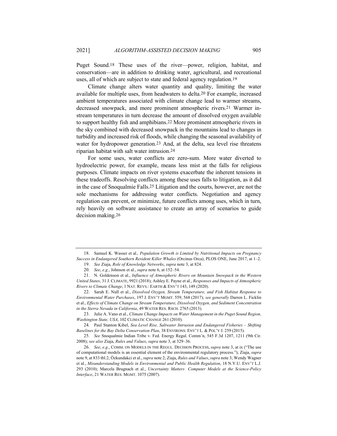Puget Sound.18 These uses of the river—power, religion, habitat, and conservation—are in addition to drinking water, agricultural, and recreational uses, all of which are subject to state and federal agency regulation.19

Climate change alters water quantity and quality, limiting the water available for multiple uses, from headwaters to delta.20 For example, increased ambient temperatures associated with climate change lead to warmer streams, decreased snowpack, and more prominent atmospheric rivers.21 Warmer instream temperatures in turn decrease the amount of dissolved oxygen available to support healthy fish and amphibians.22 More prominent atmospheric rivers in the sky combined with decreased snowpack in the mountains lead to changes in turbidity and increased risk of floods, while changing the seasonal availability of water for hydropower generation.<sup>23</sup> And, at the delta, sea level rise threatens riparian habitat with salt water intrusion.24

For some uses, water conflicts are zero-sum. More water diverted to hydroelectric power, for example, means less mist at the falls for religious purposes. Climate impacts on river systems exacerbate the inherent tensions in these tradeoffs. Resolving conflicts among these uses falls to litigation, as it did in the case of Snoqualmie Falls.25 Litigation and the courts, however, are not the sole mechanisms for addressing water conflicts. Negotiation and agency regulation can prevent, or minimize, future conflicts among uses, which in turn, rely heavily on software assistance to create an array of scenarios to guide decision making.26

22. Sarah E. Null et al., *Dissolved Oxygen, Stream Temperature, and Fish Habitat Response to Environmental Water Purchases*, 197 J. ENV'T MGMT. 559, 568 (2017); *see generally* Darren L. Ficklin et al., *Effects of Climate Change on Stream Temperature, Dissolved Oxygen, and Sediment Concentration in the Sierra Nevada in California*, 49 WATER RES. RSCH. 2765 (2013).

23. Julie A. Vano et al., *Climate Change Impacts on Water Management in the Puget Sound Region, Washington State, USA*, 102 CLIMATIC CHANGE 261 (2010).

24. Paul Stanton Kibel, *Sea Level Rise, Saltwater Intrusion and Endangered Fisheries – Shifting Baselines for the Bay Delta Conservation Plan*, 38 ENVIRONS: ENV'T L. & POL'Y J. 259 (2015).

25. *See* Snoqualmie Indian Tribe v. Fed. Energy Regul. Comm'n, 545 F.3d 1207, 1211 (9th Cir. 2008); *see also* Ziaja, *Rules and Values*, *supra* note 3, at 329–36.

<sup>18.</sup> Samuel K. Wasser et al.*, Population Growth is Limited by Nutritional Impacts on Pregnancy Success in Endangered Southern Resident Killer Whales* (Orcinus Orca), PLOS ONE, June 2017, at 1–2.

<sup>19.</sup> *See* Ziaja, *Role of Knowledge Networks*, *supra* note 3, at 824.

<sup>20.</sup> *See*, *e.g.*, Johnson et al., *supra* note 6, at 152–54.

<sup>21.</sup> N. Goldenson et al., *Influence of Atmospheric Rivers on Mountain Snowpack in the Western United States*, 31 J. CLIMATE, 9921 (2018); Ashley E. Payne et al., *Responses and Impacts of Atmospheric Rivers to Climate Change*, 1 NAT. REVS.: EARTH & ENV'T 143, 149 (2020).

<sup>26.</sup> *See*, *e.g*., COMM. ON MODELS IN THE REGUL. DECISION PROCESS, *supra* note 3, at ix ("The use of computational models is an essential element of the environmental regulatory process."); Ziaja, *supra* note 9, at 833 tbl.2; Özkundakci et al., *supra* note 2; Ziaja, *Rules and Values*, *supra* note 3; Wendy Wagner et al., *Misunderstanding Models in Environmental and Public Health Regulation*, 18 N.Y.U. ENV'T L.J. 293 (2010); Marcela Brugnach et al., *Uncertainty Matters Computer Models at the Science-Policy Interface*, 21 WATER RES. MGMT. 1075 (2007).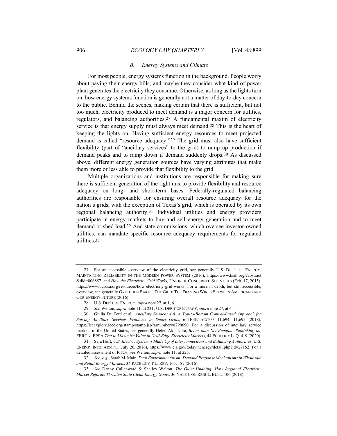#### *B. Energy Systems and Climate*

For most people, energy systems function in the background. People worry about paying their energy bills, and maybe they consider what kind of power plant generates the electricity they consume. Otherwise, as long as the lights turn on, how energy systems function is generally not a matter of day-to-day concern to the public. Behind the scenes, making certain that there is sufficient, but not too much, electricity produced to meet demand is a major concern for utilities, regulators, and balancing authorities.27 A fundamental maxim of electricity service is that energy supply must always meet demand.28 This is the heart of keeping the lights on. Having sufficient energy resources to meet projected demand is called "resource adequacy."29 The grid must also have sufficient flexibility (part of "ancillary services" to the grid) to ramp up production if demand peaks and to ramp down if demand suddenly drops.30 As discussed above, different energy generation sources have varying attributes that make them more or less able to provide that flexibility to the grid.

Multiple organizations and institutions are responsible for making sure there is sufficient generation of the right mix to provide flexibility and resource adequacy on long- and short-term bases. Federally-regulated balancing authorities are responsible for ensuring overall resource adequacy for the nation's grids, with the exception of Texas's grid, which is operated by its own regional balancing authority.31 Individual utilities and energy providers participate in energy markets to buy and sell energy generation and to meet demand or shed load.32 And state commissions, which oversee investor-owned utilities, can mandate specific resource adequacy requirements for regulated utilities.33

<sup>27.</sup> For an accessible overview of the electricity grid, see generally U.S. DEP'T OF ENERGY, MAINTAINING RELIABILITY IN THE MODERN POWER SYSTEM (2016), https://www.hsdl.org/?abstract &did=806857, and *How the Electricity Grid Works,* UNION OF CONCERNED SCIENTISTS (Feb. 17, 2015), https://www.ucsusa.org/resources/how-electricity-grid-works. For a more in depth, but still accessible, overview, see generally GRETCHEN BAKKE, THE GRID: THE FRAYING WIRES BETWEEN AMERICANS AND OUR ENERGY FUTURE (2016).

<sup>28.</sup> U.S. DEP'T OF ENERGY, *supra* note 27, at 1, 6.

<sup>29.</sup> *See* Welton, *supra* note 11, at 231; U.S. DEP'T OF ENERGY, *supra* note 27, at 6.

<sup>30.</sup> Giulia De Zotti et al., *Ancillary Services 4.0 A Top-to-Bottom Control-Based Approach for Solving Ancillary Services Problems in Smart Grids*, 6 IEEE ACCESS 11,694, 11,695 (2018), https://ieeexplore.ieee.org/stamp/stamp.jsp?arnumber=8290690. For a discussion of ancillary service markets in the United States, see generally Helen Aki, Note, *Better than Net Benefits Rethinking the*  FERC v. EPSA *Test to Maximize Value in Grid-Edge Electricity Markets*, 44 ECOLOGY L. Q. 419 (2020).

<sup>31.</sup> Sara Hoff, *U.S. Electric System is Made Up of Interconnections and Balancing Authorities*, U.S. ENERGY INFO. ADMIN., (July 20, 2016), https://www.eia.gov/todayinenergy/detail.php?id=27152. For a detailed assessment of RTOs, see Welton, *supra* note 11, at 225.

<sup>32.</sup> *See*, *e.g.*, Sarah M. Main, *Dual Environmentalism Demand Response Mechanisms in Wholesale and Retail Energy Markets*, 34 PACE ENV'T L. REV. 165, 187 (2016).

<sup>33.</sup> *See* Danny Cullenward & Shelley Welton, *The Quiet Undoing How Regional Electricity Market Reforms Threaten State Clean Energy Goals*, 36 YALE J. ON REGUL. BULL. 106 (2018).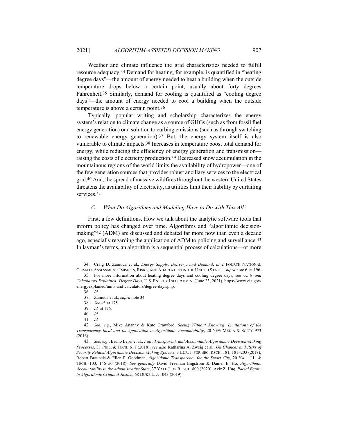Weather and climate influence the grid characteristics needed to fulfill resource adequacy.34 Demand for heating, for example, is quantified in "heating degree days"—the amount of energy needed to heat a building when the outside temperature drops below a certain point, usually about forty degrees Fahrenheit.35 Similarly, demand for cooling is quantified as "cooling degree days"—the amount of energy needed to cool a building when the outside temperature is above a certain point.36

Typically, popular writing and scholarship characterizes the energy system's relation to climate change as a source of GHGs (such as from fossil fuel energy generation) or a solution to curbing emissions (such as through switching to renewable energy generation).37 But, the energy system itself is also vulnerable to climate impacts.38 Increases in temperature boost total demand for energy, while reducing the efficiency of energy generation and transmission raising the costs of electricity production.39 Decreased snow accumulation in the mountainous regions of the world limits the availability of hydropower—one of the few generation sources that provides robust ancillary services to the electrical grid.40 And, the spread of massive wildfires throughout the western United States threatens the availability of electricity, as utilities limit their liability by curtailing services.41

#### *C. What Do Algorithms and Modeling Have to Do with This All?*

First, a few definitions. How we talk about the analytic software tools that inform policy has changed over time. Algorithms and "algorithmic decisionmaking"42 (ADM) are discussed and debated far more now than even a decade ago, especially regarding the application of ADM to policing and surveillance.43 In layman's terms, an algorithm is a sequential process of calculations—or more

<sup>34.</sup> Craig D. Zamuda et al., *Energy Supply, Delivery, and Demand*, *in* 2 FOURTH NATIONAL CLIMATE ASSESSMENT: IMPACTS, RISKS, AND ADAPTATION IN THE UNITED STATES, *supra* note 6, at 196.

<sup>35.</sup> For more information about heating degree days and cooling degree days, see *Units and Calculators Explained Degree Days*, U.S. ENERGY INFO. ADMIN. (June 23, 2021), https://www.eia.gov/ energyexplained/units-and-calculators/degree-days.php.

<sup>36.</sup> *Id.*

<sup>37.</sup> Zamuda et al., *supra* note 34.

<sup>38.</sup> *See id.* at 175.

<sup>39.</sup> *Id.* at 176.

<sup>40.</sup> *Id.*

<sup>41.</sup> *Id.*

<sup>42.</sup> *See*, *e.g.*, Mike Ananny & Kate Crawford, *Seeing Without Knowing Limitations of the Transparency Ideal and Its Application to Algorithmic Accountability*, 20 NEW MEDIA & SOC'Y 973 (2016).

<sup>43.</sup> *See*, *e.g.*, Bruno Lepri et al., *Fair, Transparent, and Accountable Algorithmic Decision-Making Processes*, 31 PHIL. & TECH. 611 (2018); *see also* Katharina A. Zweig et al*.*, *On Chances and Risks of Security Related Algorithmic Decision Making Systems*, 3 EUR. J. FOR SEC. RSCH. 181, 181–203 (2018); Robert Brauneis & Ellen P. Goodman, *Algorithmic Transparency for the Smart City*, 20 YALE J.L. & TECH. 103, 146–50 (2018). *See generally* David Freeman Engstrom & Daniel E. Ho, *Algorithmic Accountability in the Administrative State*, 37 YALE J. ON REGUL. 800 (2020); Aziz Z. Huq, *Racial Equity in Algorithmic Criminal Justice*, 68 DUKE L. J. 1043 (2019).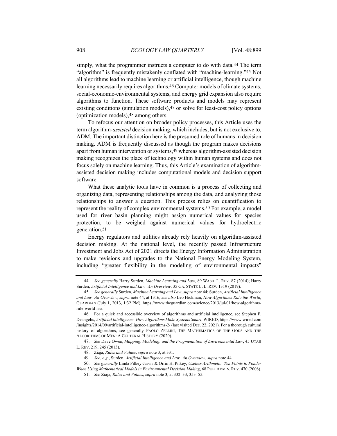simply, what the programmer instructs a computer to do with data.44 The term "algorithm" is frequently mistakenly conflated with "machine-learning."45 Not all algorithms lead to machine learning or artificial intelligence, though machine learning necessarily requires algorithms.46 Computer models of climate systems, social-economic-environmental systems, and energy grid expansion also require algorithms to function. These software products and models may represent existing conditions (simulation models),<sup>47</sup> or solve for least-cost policy options (optimization models),48 among others.

To refocus our attention on broader policy processes, this Article uses the term algorithm-*assisted* decision making, which includes, but is not exclusive to, ADM. The important distinction here is the presumed role of humans in decision making. ADM is frequently discussed as though the program makes decisions apart from human intervention or systems,49 whereas algorithm-assisted decision making recognizes the place of technology within human systems and does not focus solely on machine learning. Thus, this Article's examination of algorithmassisted decision making includes computational models and decision support software.

What these analytic tools have in common is a process of collecting and organizing data, representing relationships among the data, and analyzing those relationships to answer a question. This process relies on quantification to represent the reality of complex environmental systems.50 For example, a model used for river basin planning might assign numerical values for species protection, to be weighed against numerical values for hydroelectric generation.51

Energy regulators and utilities already rely heavily on algorithm-assisted decision making. At the national level, the recently passed Infrastructure Investment and Jobs Act of 2021 directs the Energy Information Administration to make revisions and upgrades to the National Energy Modeling System, including "greater flexibility in the modeling of environmental impacts"

<sup>44.</sup> *See generally* Harry Surden, *Machine Learning and Law*, 89 WASH. L. REV. 87 (2014); Harry Surden, *Artificial Intelligence and Law An Overview*, 35 GA. STATE U. L. REV. 1319 (2019).

<sup>45</sup>*. See generally* Surden, *Machine Learning and Law*, *supra* note 44; Surden, *Artificial Intelligence and Law An Overview*, *supra* note 44, at 1316; *see also* Leo Hickman, *How Algorithms Rule the World*, GUARDIAN (July 1, 2013, 1:32 PM), https://www.theguardian.com/science/2013/jul/01/how-algorithmsrule-world-nsa.

<sup>46.</sup> For a quick and accessible overview of algorithms and artificial intelligence, see Stephen F. Deangelis, *Artificial Intelligence How Algorithms Make Systems Smart*, WIRED, https://www.wired.com /insights/2014/09/artificial-intelligence-algorithms-2/ (last visited Dec. 22, 2021). For a thorough cultural history of algorithms, see generally PAOLO ZELLINI, THE MATHEMATICS OF THE GODS AND THE ALGORITHMS OF MEN: A CULTURAL HISTORY (2020).

<sup>47.</sup> *See* Dave Owen, *Mapping, Modeling, and the Fragmentation of Environmental Law*, 45 UTAH L. REV. 219, 245 (2013).

<sup>48.</sup> Ziaja, *Rules and Values*, *supra* note 3, at 331.

<sup>49.</sup> *See*, *e.g.*, Surden, *Artificial Intelligence and Law An Overview*, *supra* note 44.

<sup>50.</sup> *See generally* Linda Pilkey-Jarvis & Orrin H. Pilkey, *Useless Arithmetic Ten Points to Ponder When Using Mathematical Models in Environmental Decision Making*, 68 PUB. ADMIN. REV. 470 (2008).

<sup>51.</sup> *See* Ziaja, *Rules and Values*, *supra* note 3, at 332–33, 353–55.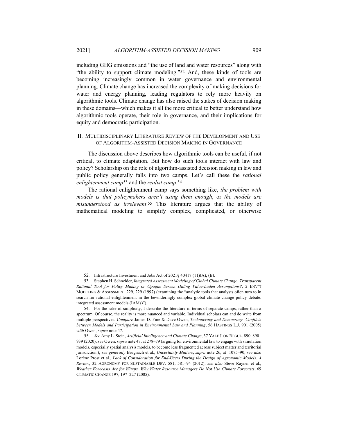including GHG emissions and "the use of land and water resources" along with "the ability to support climate modeling."52 And, these kinds of tools are becoming increasingly common in water governance and environmental planning. Climate change has increased the complexity of making decisions for water and energy planning, leading regulators to rely more heavily on algorithmic tools. Climate change has also raised the stakes of decision making in these domains—which makes it all the more critical to better understand how algorithmic tools operate, their role in governance, and their implications for equity and democratic participation.

#### II. MULTIDISCIPLINARY LITERATURE REVIEW OF THE DEVELOPMENT AND USE OF ALGORITHM-ASSISTED DECISION MAKING IN GOVERNANCE

The discussion above describes how algorithmic tools can be useful, if not critical, to climate adaptation. But how do such tools interact with law and policy? Scholarship on the role of algorithm-assisted decision making in law and public policy generally falls into two camps. Let's call these the *rational enlightenment camp*53 and the *realist camp*.54

The rational enlightenment camp says something like, *the problem with models is that policymakers aren't using them enough*, or *the models are misunderstood as irrelevant*.55 This literature argues that the ability of mathematical modeling to simplify complex, complicated, or otherwise

<sup>52.</sup> Infrastructure Investment and Jobs Act of 2021§ 40417 (11)(A), (B).

<sup>53.</sup> Stephen H. Schneider, *Integrated Assessment Modeling of Global Climate Change Transparent Rational Tool for Policy Making or Opaque Screen Hiding Value-Laden Assumptions?*, 2 ENV'T MODELING & ASSESSMENT 229, 229 (1997) (examining the "analytic tools that analysts often turn to in search for rational enlightenment in the bewilderingly complex global climate change policy debate: integrated assessment models (IAMs)").

<sup>54.</sup> For the sake of simplicity, I describe the literature in terms of separate camps, rather than a spectrum. Of course, the reality is more nuanced and variable. Individual scholars can and do write from multiple perspectives. *Compare* James D. Fine & Dave Owen, *Technocracy and Democracy Conflicts between Models and Participation in Environmental Law and Planning*, 56 HASTINGS L.J. 901 (2005) *with* Owen, *supra* note 47.

<sup>55.</sup> *See* Amy L. Stein, *Artificial Intelligence and Climate Change*, 37 YALE J. ON REGUL. 890, 890– 939 (2020); *see* Owen, *supra* note 47, at 278–79 (arguing for environmental law to engage with simulation models, especially spatial analysis models, to become less fragmented across subject matter and territorial jurisdiction.); *see generally* Brugnach et al*.*, *Uncertainty Matters*, *supra* note 26, at 1075–90; *see also*  Lorène Prost et al., *Lack of Consideration for End-Users During the Design of Agronomic Models. A Review*, 32 AGRONOMY FOR SUSTAINABLE DEV. 581, 581–94 (2012); *see also* Steve Rayner et al*.*, *Weather Forecasts Are for Wimps Why Water Resource Managers Do Not Use Climate Forecasts*, 69 CLIMATIC CHANGE 197, 197–227 (2005).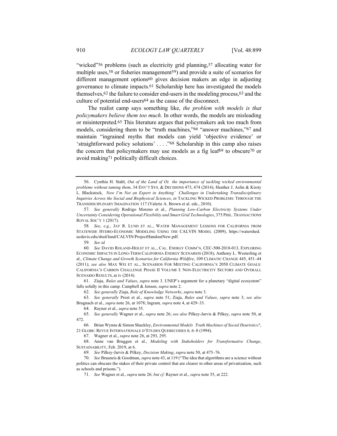"wicked"<sup>56</sup> problems (such as electricity grid planning,<sup>57</sup> allocating water for multiple uses,<sup>58</sup> or fisheries management<sup>59</sup>) and provide a suite of scenarios for different management options60 gives decision makers an edge in adjusting governance to climate impacts.61 Scholarship here has investigated the models themselves,62 the failure to consider end-users in the modeling process,63 and the culture of potential end-users64 as the cause of the disconnect.

The realist camp says something like, *the problem with models is that policymakers believe them too much*. In other words, the models are misleading or misinterpreted.65 This literature argues that policymakers ask too much from models, considering them to be "truth machines,"66 "answer machines,"67 and maintain "ingrained myths that models can yield 'objective evidence' or 'straightforward policy solutions' . . . ."68 Scholarship in this camp also raises the concern that policymakers may use models as a fig leaf69 to obscure70 or avoid making71 politically difficult choices.

61. Ziaja, *Rules and Values*, *supra* note 3. UNEP's argument for a planetary "digital ecosystem" falls solidly in this camp. Campbell & Jensen, *supra* note 2.

62. *See generally* Ziaja, *Role of Knowledge Networks*, *supra* note 3.

63. *See generally* Prost et al., *supra* note 51; Ziaja, *Rules and Values*, *supra* note 3; *see also*  Brugnach et al., *supra* note 26, at 1078; Ingram*, supra* note 4, at 429–33.

64. Rayner et al., *supra* note 55.

67. Wagner et al., *supra* note 26, at 293, 295.

68. Anne van Bruggen et al., *Modeling with Stakeholders for Transformative Change*, SUSTAINABILITY, Feb. 2019, at 6.

69. *See* Pilkey-Jarvis & Pilkey, *Decision Making*, *supra* note 50, at 475–76.

71. *See* Wagner et al., *supra* note 26; *but cf.* Rayner et al., *supra* note 55, at 222.

<sup>56.</sup> Cynthia H. Stahl, *Out of the Land of Oz the importance of tackling wicked environmental problems without taming them*, 34 ENV'T SYS. & DECISIONS 473, 474 (2014); Heather J. Aslin & Kirsty L. Blackstock, *Now I'm Not an Expert in Anything' Challenges in Undertaking Transdisciplinary Inquiries Across the Social and Biophysical Sciences*, *in* TACKLING WICKED PROBLEMS: THROUGH THE TRANSDISCIPLINARY IMAGINATION 117 (Valerie A. Brown et al. eds., 2010).

<sup>57.</sup> *See generally* Rodrigo Moreno et al., *Planning Low-Carbon Electricity Systems Under Uncertainty Considering Operational Flexibility and Smart Grid Technologies*, 375 PHIL. TRANSACTIONS ROYAL SOC'Y 1 (2017).

<sup>58.</sup> *See*, *e.g.*, JAY R. LUND ET AL., WATER MANAGEMENT LESSONS FOR CALIFORNIA FROM STATEWIDE HYDRO-ECONOMIC MODELING USING THE CALVIN MODEL (2009), https://watershed. ucdavis.edu/shed/lund/CALVIN/ProjectHandoutNew.pdf.

<sup>59.</sup> *See id.*

<sup>60.</sup> *See* DAVID ROLAND-HOLST ET AL., CAL. ENERGY COMM'N, CEC-500-2018-013, EXPLORING ECONOMIC IMPACTS IN LONG-TERM CALIFORNIA ENERGY SCENARIOS (2018); Anthony L. Westerling et al., *Climate Change and Growth Scenarios for California Wildfire*, 109 CLIMATIC CHANGE 445, 451–44 (2011); *see also* MAX WEI ET AL., SCENARIOS FOR MEETING CALIFORNIA'S 2050 CLIMATE GOALS: CALIFORNIA'S CARBON CHALLENGE PHASE II VOLUME I: NON-ELECTRICITY SECTORS AND OVERALL SCENARIO RESULTS, at iv (2014).

<sup>65.</sup> *See generally* Wagner et al., *supra* note 26; *see also* Pilkey-Jarvis & Pilkey, *supra* note 50, at 472.

<sup>66.</sup> Brian Wynne & Simon Shackley, *Environmental Models Truth Machines of Social Heuristics?*, 21 GLOBE: REVUE INTERNATIONALE D'ETUDES QUEBECOISES 6, 6–8 (1994).

<sup>70.</sup> *See* Brauneis & Goodman, *supra* note 43, at 119 ("The idea that algorithms are a science without politics can obscure the stakes of their private control that are clearer in other areas of privatization, such as schools and prisons.").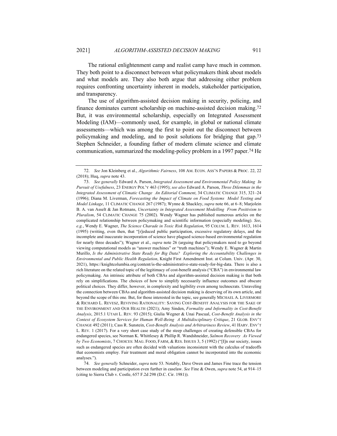The rational enlightenment camp and realist camp have much in common. They both point to a disconnect between what policymakers think about models and what models are. They also both argue that addressing either problem requires confronting uncertainty inherent in models, stakeholder participation, and transparency.

The use of algorithm-assisted decision making in security, policing, and finance dominates current scholarship on machine-assisted decision making.72 But, it was environmental scholarship, especially on Integrated Assessment Modeling (IAM)—commonly used, for example, in global or national climate assessments—which was among the first to point out the disconnect between policymaking and modeling, and to posit solutions for bridging that gap.73 Stephen Schneider, a founding father of modern climate science and climate communication, summarized the modeling-policy problem in a 1997 paper.74 He

<sup>72.</sup> *See* Jon Kleinberg et al., *Algorithmic Fairness*, 108 AM. ECON. ASS'N PAPERS & PROC. 22, 22 (2018); Huq, *supra* note 43.

<sup>73.</sup> *See generally* Edward A. Parson, *Integrated Assessment and Environmental Policy Making In Pursuit of Usefulness*, 23 ENERGY POL'Y 463 (1995); *see also* Edward A. Parson, *Three Dilemmas in the Integrated Assessment of Climatic Change An Editorial Comment*, 34 CLIMATIC CHANGE 315, 321–24 (1996); Diana M. Liverman, *Forecasting the Impact of Climate on Food Systems Model Testing and Model Linkage*, 11 CLIMATIC CHANGE 267 (1987); Wynne & Shackley, *supra* note 66, at 6–8; Marjolein B. A. van Asselt & Jan Rotmans, *Uncertainty in Integrated Assessment Modelling From Positivism to Pluralism*, 54 CLIMATIC CHANGE 75 (2002). Wendy Wagner has published numerous articles on the complicated relationship between policymaking and scientific information (especially modeling). *See*, *e.g.*, Wendy E. Wagner, *The Science Charade in Toxic Risk Regulation*, 95 COLUM. L. REV. 1613, 1614 (1995) (writing, even then, that "[r]educed public participation, excessive regulatory delays, and the incomplete and inaccurate incorporation of science have plagued science-based environmental regulation for nearly three decades"); Wagner et al., *supra* note 26 (arguing that policymakers need to go beyond viewing computational models as "answer machines" or "truth machines"); Wendy E. Wagner & Martin Murillo, *Is the Administrative State Ready for Big Data? Exploring the Accountability Challenges in Environmental and Public Health Regulation*, Knight First Amendment Inst. at Colum. Univ. (Apr. 30, 2021), https://knightcolumbia.org/content/is-the-administrative-state-ready-for-big-data. There is also a rich literature on the related topic of the legitimacy of cost-benefit analysis ("CBA") in environmental law policymaking. An intrinsic attribute of both CBAs and algorithm-assisted decision making is that both rely on simplifications. The choices of how to simplify necessarily influence outcomes and obscure political choices. They differ, however, in complexity and legibility even among technocrats. Unraveling the connection between CBAs and algorithm-assisted decision making is deserving of its own article, and beyond the scope of this one. But, for those interested in the topic, see generally MICHAEL A. LIVERMORE & RICHARD L. REVESZ, REVIVING RATIONALITY: SAVING COST-BENEFIT ANALYSIS FOR THE SAKE OF THE ENVIRONMENT AND OUR HEALTH (2021); Amy Sinden, *Formality and Informality in Cost-Benefit Analysis*, 2015.1 UTAH L. REV. 93 (2015); Giulia Wegner & Unai Pascual, *Cost-Benefit Analysis in the Context of Ecosystem Services for Human Well-Being A Multidisciplinary Critique*, 21 GLOB. ENV'T CHANGE 492 (2011); Cass R. Sunstein, *Cost-Benefit Analysis and Arbitrariness Review*, 41 HARV. ENV'T L. REV. 1 (2017). For a very short case study of the steep challenges of creating defensible CBAs for endangered species, see Norman K. Whittlesey & Phillip R. Wandshneider, *Salmon Recovery As Viewed by Two Economists*, 7 CHOICES: MAG. FOOD, FARM, & RES. ISSUES 3, 5 (1992) ("[I]n our society, issues such as endangered species are often decided with valuations inconsistent with the calculus of tradeoffs that economists employ. Fair treatment and moral obligation cannot be incorporated into the economic analyses.").

<sup>74.</sup> *See generally* Schneider, *supra* note 53. Notably, Dave Owen and James Fine trace the tension between modeling and participation even further in caselaw. *See* Fine & Owen, *supra* note 54, at 914–15 (citing to Sierra Club v. Costle, 657 F.2d 298 (D.C. Cir. 1981)).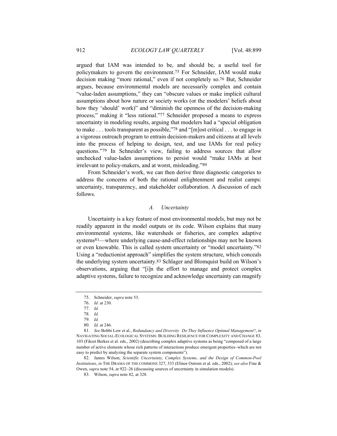argued that IAM was intended to be, and should be, a useful tool for policymakers to govern the environment.75 For Schneider, IAM would make decision making "more rational," even if not completely so.76 But, Schneider argues, because environmental models are necessarily complex and contain "value-laden assumptions," they can "obscure values or make implicit cultural assumptions about how nature or society works (or the modelers' beliefs about how they 'should' work)" and "diminish the openness of the decision-making process," making it "less rational."77 Schneider proposed a means to express uncertainty in modeling results, arguing that modelers had a "special obligation to make . . . tools transparent as possible,"78 and "[m]ost critical . . . to engage in a vigorous outreach program to entrain decision-makers and citizens at all levels into the process of helping to design, test, and use IAMs for real policy questions."79 In Schneider's view, failing to address sources that allow unchecked value-laden assumptions to persist would "make IAMs at best irrelevant to policy-makers, and at worst, misleading."80

From Schneider's work, we can then derive three diagnostic categories to address the concerns of both the rational enlightenment and realist camps: uncertainty, transparency, and stakeholder collaboration. A discussion of each follows.

#### *A. Uncertainty*

Uncertainty is a key feature of most environmental models, but may not be readily apparent in the model outputs or its code. Wilson explains that many environmental systems, like watersheds or fisheries, are complex adaptive systems81—where underlying cause-and-effect relationships may not be known or even knowable. This is called system uncertainty or "model uncertainty."82 Using a "reductionist approach" simplifies the system structure, which conceals the underlying system uncertainty.83 Schlager and Blomquist build on Wilson's observations, arguing that "[i]n the effort to manage and protect complex adaptive systems, failure to recognize and acknowledge uncertainty can magnify

82. James Wilson, *Scientific Uncertainty, Complex Systems, and the Design of Common-Pool Institutions*, *in* THE DRAMA OF THE COMMONS 327, 333 (Elinor Ostrom et al. eds., 2002); *see also* Fine & Owen, *supra* note 54, at 922–26 (discussing sources of uncertainty in simulation models).

<sup>75.</sup> Schneider, *supra* note 53.

<sup>76.</sup> *Id.* at 230.

<sup>77.</sup> *Id.*

<sup>78.</sup> *Id.*

<sup>79.</sup> *Id.*

<sup>80.</sup> *Id.* at 246.

<sup>81.</sup> *See* Bobbi Low et al., *Redundancy and Diversity Do They Influence Optimal Management?*, *in* NAVIGATING SOCIAL-ECOLOGICAL SYSTEMS: BUILDING RESILIENCE FOR COMPLEXITY AND CHANGE 83, 103 (Fikret Berkes et al. eds., 2002) (describing complex adaptive systems as being "composed of a large number of active elements whose rich patterns of interactions produce emergent properties–which are not easy to predict by analyzing the separate system components").

<sup>83.</sup> Wilson, *supra* note 82, at 328.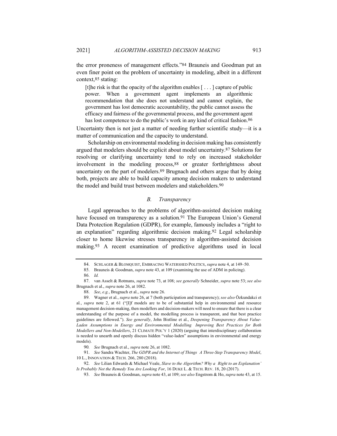the error proneness of management effects."84 Brauneis and Goodman put an even finer point on the problem of uncertainty in modeling, albeit in a different context,85 stating:

[t]he risk is that the opacity of the algorithm enables  $[\ldots]$  capture of public power. When a government agent implements an algorithmic recommendation that she does not understand and cannot explain, the government has lost democratic accountability, the public cannot assess the efficacy and fairness of the governmental process, and the government agent has lost competence to do the public's work in any kind of critical fashion.<sup>86</sup>

Uncertainty then is not just a matter of needing further scientific study—it is a matter of communication and the capacity to understand.

Scholarship on environmental modeling in decision making has consistently argued that modelers should be explicit about model uncertainty.87 Solutions for resolving or clarifying uncertainty tend to rely on increased stakeholder involvement in the modeling process,88 or greater forthrightness about uncertainty on the part of modelers.89 Brugnach and others argue that by doing both, projects are able to build capacity among decision makers to understand the model and build trust between modelers and stakeholders.90

## *B. Transparency*

Legal approaches to the problems of algorithm-assisted decision making have focused on transparency as a solution.<sup>91</sup> The European Union's General Data Protection Regulation (GDPR), for example, famously includes a "right to an explanation" regarding algorithmic decision making.92 Legal scholarship closer to home likewise stresses transparency in algorithm-assisted decision making.93 A recent examination of predictive algorithms used in local

<sup>84.</sup> SCHLAGER & BLOMQUIST, EMBRACING WATERSHED POLITICS, *supra* note 4, at 149–50.

<sup>85.</sup> Brauneis & Goodman, *supra* note 43, at 109 (examining the use of ADM in policing).

<sup>86.</sup> *Id.*

<sup>87.</sup> van Asselt & Rotmans, *supra* note 73, at 108; *see generally* Schneider, *supra* note 53; *see also*  Brugnach et al., *supra* note 26, at 1082.

<sup>88.</sup> *See*, *e.g.*, Brugnach et al., *supra* note 26.

<sup>89.</sup> Wagner et al*.*, *supra* note 26, at 7 (both participation and transparency); *see also* Özkundakci et al*.*, *supra* note 2, at 61 ("[I]f models are to be of substantial help in environmental and resource management decision-making, then modellers and decision-makers will need to ensure that there is a clear understanding of the purpose of a model, the modelling process is transparent, and that best practice guidelines are followed."). *See generally*, John Bistline et al., *Deepening Transparency About Value-Laden Assumptions in Energy and Environmental Modelling Improving Best Practices for Both Modellers and Non-Modellers*, 21 CLIMATE POL'Y 1 (2020) (arguing that interdisciplinary collaboration is needed to unearth and openly discuss hidden "value-laden" assumptions in environmental and energy models).

<sup>90</sup>*. See* Brugnach et al., *supra* note 26, at 1082.

<sup>91.</sup> *See* Sandra Wachter, *The GDPR and the Internet of Things A Three-Step Transparency Model*, 10 L., INNOVATION & TECH. 266, 280 (2018).

<sup>92.</sup> *See* Lilian Edwards & Michael Veale, *Slave to the Algorithm? Why a Right to an Explanation' Is Probably Not the Remedy You Are Looking For*, 16 DUKE L. & TECH. REV. 18, 20 (2017).

<sup>93.</sup> *See* Brauneis & Goodman, *supra* note 43, at 109; *see also* Engstrom & Ho, *supra* note 43, at 15.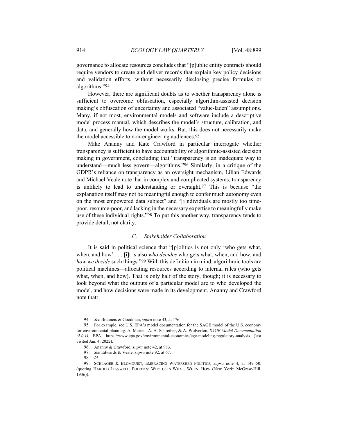governance to allocate resources concludes that "[p]ublic entity contracts should require vendors to create and deliver records that explain key policy decisions and validation efforts, without necessarily disclosing precise formulas or algorithms."94

However, there are significant doubts as to whether transparency alone is sufficient to overcome obfuscation, especially algorithm-assisted decision making's obfuscation of uncertainty and associated "value-laden" assumptions. Many, if not most, environmental models and software include a descriptive model process manual, which describes the model's structure, calibration, and data, and generally how the model works. But, this does not necessarily make the model accessible to non-engineering audiences.95

Mike Ananny and Kate Crawford in particular interrogate whether transparency is sufficient to have accountability of algorithmic-assisted decision making in government, concluding that "transparency is an inadequate way to understand—much less govern—algorithms."96 Similarly, in a critique of the GDPR's reliance on transparency as an oversight mechanism, Lilian Edwards and Michael Veale note that in complex and complicated systems, transparency is unlikely to lead to understanding or oversight.97 This is because "the explanation itself may not be meaningful enough to confer much autonomy even on the most empowered data subject" and "[i]ndividuals are mostly too timepoor, resource-poor, and lacking in the necessary expertise to meaningfully make use of these individual rights."98 To put this another way, transparency tends to provide detail, not clarity.

## *C. Stakeholder Collaboration*

It is said in political science that "[p]olitics is not only 'who gets what, when, and how' . . . [i]t is also *who decides* who gets what, when, and how, and *how we decide* such things."99 With this definition in mind, algorithmic tools are political machines—allocating resources according to internal rules (who gets what, when, and how). That is only half of the story, though; it is necessary to look beyond what the outputs of a particular model are to who developed the model, and how decisions were made in its development. Ananny and Crawford note that:

<sup>94</sup>*. See* Brauneis & Goodman, *supra* note 43, at 176.

<sup>95.</sup> For example, see U.S. EPA's model documentation for the SAGE model of the U.S. economy for environmental planning. A. Marten, A. A. Schreiber, & A. Wolverton, *SAGE Model Documentation (2.0.1)*, EPA, https://www.epa.gov/environmental-economics/cge-modeling-regulatory-analysis (last visited Jan. 4, 2022).

<sup>96.</sup> Ananny & Crawford, *supra* note 42, at 983.

<sup>97.</sup> *See* Edwards & Veale, *supra* note 92, at 67.

<sup>98.</sup> *Id*.

<sup>99.</sup> SCHLAGER & BLOMQUIST, EMBRACING WATERSHED POLITICS, *supra* note 4, at 149–50. (quoting HAROLD LESSWELL, POLITICS: WHO GETS WHAT, WHEN, HOW (New York: McGraw-Hill, 1936)).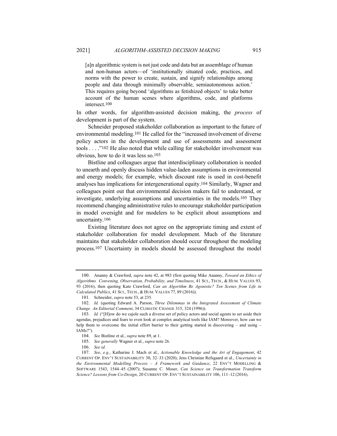[a]n algorithmic system is not just code and data but an assemblage of human and non-human actors—of 'institutionally situated code, practices, and norms with the power to create, sustain, and signify relationships among people and data through minimally observable, semiautonomous action.' This requires going beyond 'algorithms as fetishized objects' to take better account of the human scenes where algorithms, code, and platforms intersect.100

In other words, for algorithm-assisted decision making, the *process* of development is part of the system.

Schneider proposed stakeholder collaboration as important to the future of environmental modeling.101 He called for the "increased involvement of diverse policy actors in the development and use of assessments and assessment tools . . . ."102 He also noted that while calling for stakeholder involvement was obvious, how to do it was less so.103

Bistline and colleagues argue that interdisciplinary collaboration is needed to unearth and openly discuss hidden value-laden assumptions in environmental and energy models; for example, which discount rate is used in cost-benefit analyses has implications for intergenerational equity.104 Similarly, Wagner and colleagues point out that environmental decision makers fail to understand, or investigate, underlying assumptions and uncertainties in the models.105 They recommend changing administrative rules to encourage stakeholder participation in model oversight and for modelers to be explicit about assumptions and uncertainty.106

Existing literature does not agree on the appropriate timing and extent of stakeholder collaboration for model development. Much of the literature maintains that stakeholder collaboration should occur throughout the modeling process.107 Uncertainty in models should be assessed throughout the model

<sup>100.</sup> Ananny & Crawford, *supra* note 42, at 983 (first quoting Mike Ananny, *Toward an Ethics of Algorithms Convening, Observation, Probability, and Timeliness*, 41 SCI., TECH., & HUM. VALUES 93, 93 (2016), then quoting Kate Crawford, *Can an Algorithm Be Agonistic? Ten Scenes from Life in Calculated Publics*, 41 SCI., TECH., & HUM. VALUES 77, 89 (2016)).

<sup>101.</sup> Schneider, *supra* note 53, at 235.

<sup>102.</sup> *Id.* (quoting Edward A. Parson, *Three Dilemmas in the Integrated Assessment of Climate Change An Editorial Comment*, 34 CLIMATIC CHANGE 315, 324 (1996)).

<sup>103.</sup> *Id.* ("[H]ow do we cajole such a diverse set of policy actors and social agents to set aside their agendas, prejudices and fears to even look at complex analytical tools like IAM? Moreover, how can we help them to overcome the initial effort barrier to their getting started in discovering – and using – IAMs?").

<sup>104.</sup> *See* Bistline et al., *supra* note 89, at 1.

<sup>105.</sup> *See generally* Wagner et al*.*, *supra* note 26.

<sup>106.</sup> *See id.*

<sup>107.</sup> *See*, *e.g.*, Katharine J. Mach et al., *Actionable Knowledge and the Art of Engagement*, 42 CURRENT OP. ENV'T SUSTAINABILITY 30, 32–33 (2020); Jens Christian Refsgaard et al., *Uncertainty in the Environmental Modelling Process – A Framework and Guidance*, 22 ENV'T MODELLING & SOFTWARE 1543, 1544–45 (2007); Susanne C. Moser, *Can Science on Transformation Transform Science? Lessons from Co-Design*, 20 CURRENT OP. ENV'T SUSTAINABILITY 106, 111–12 (2016).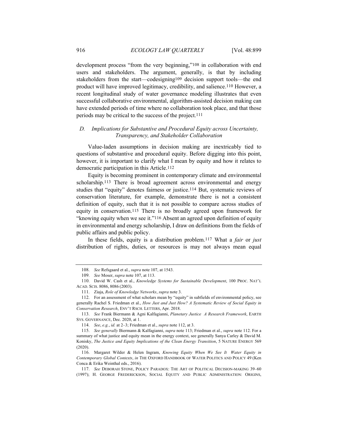development process "from the very beginning,"108 in collaboration with end users and stakeholders. The argument, generally, is that by including stakeholders from the start—codesigning109 decision support tools—the end product will have improved legitimacy, credibility, and salience.110 However, a recent longitudinal study of water governance modeling illustrates that even successful collaborative environmental, algorithm-assisted decision making can have extended periods of time where no collaboration took place, and that those periods may be critical to the success of the project.111

## *D. Implications for Substantive and Procedural Equity across Uncertainty, Transparency, and Stakeholder Collaboration*

Value-laden assumptions in decision making are inextricably tied to questions of substantive and procedural equity. Before digging into this point, however, it is important to clarify what I mean by equity and how it relates to democratic participation in this Article.112

Equity is becoming prominent in contemporary climate and environmental scholarship.113 There is broad agreement across environmental and energy studies that "equity" denotes fairness or justice.114 But, systematic reviews of conservation literature, for example, demonstrate there is not a consistent definition of equity, such that it is not possible to compare across studies of equity in conservation.115 There is no broadly agreed upon framework for "knowing equity when we see it."116 Absent an agreed upon definition of equity in environmental and energy scholarship, I draw on definitions from the fields of public affairs and public policy.

In these fields, equity is a distribution problem.117 What a *fair* or *just*  distribution of rights, duties, or resources is may not always mean equal

<sup>108.</sup> *See* Refsgaard et al., *supra* note 107, at 1543.

<sup>109.</sup> *See* Moser, *supra* note 107, at 113.

<sup>110.</sup> David W. Cash et al., *Knowledge Systems for Sustainable Development*, 100 PROC. NAT'L ACAD. SCIS. 8086, 8086 (2003).

<sup>111.</sup> Ziaja, *Role of Knowledge Networks*, *supra* note 3.

<sup>112.</sup> For an assessment of what scholars mean by "equity" in subfields of environmental policy, see generally Rachel S. Friedman et al., *How Just and Just How? A Systematic Review of Social Equity in Conservation Research*, ENV'T RSCH. LETTERS, Apr. 2018.

<sup>113.</sup> *See* Frank Biermann & Agni Kalfagianni, *Planetary Justice A Research Framework*, EARTH SYS. GOVERNANCE, Dec. 2020, at 1.

<sup>114.</sup> *See*, *e.g.*, *id.* at 2–3; Friedman et al., *supra* note 112, at 3.

<sup>115.</sup> *See generally* Biermann & Kalfagianni, *supra* note 113; Friedman et al., *supra* note 112. For a summary of what justice and equity mean in the energy context, see generally Sanya Carley & David M. Konisky, *The Justice and Equity Implications of the Clean Energy Transition*, 5 NATURE ENERGY 569 (2020).

<sup>116.</sup> Margaret Wilder & Helen Ingram, *Knowing Equity When We See It Water Equity in Contemporary Global Contexts*, *in* THE OXFORD HANDBOOK OF WATER POLITICS AND POLICY 49 (Ken Conca & Erika Weinthal eds., 2016).

<sup>117.</sup> *See* DEBORAH STONE, POLICY PARADOX: THE ART OF POLITICAL DECISION-MAKING 39–60 (1997); H. GEORGE FREDERICKSON, SOCIAL EQUITY AND PUBLIC ADMINISTRATION: ORIGINS,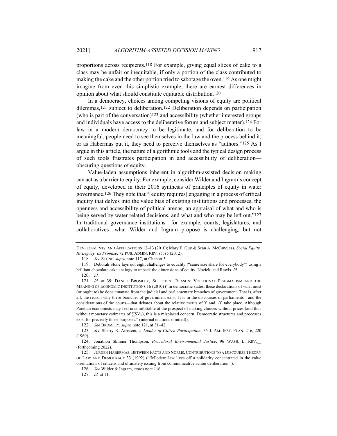proportions across recipients.118 For example, giving equal slices of cake to a class may be unfair or inequitable, if only a portion of the class contributed to making the cake and the other portion tried to sabotage the oven.119 As one might imagine from even this simplistic example, there are earnest differences in opinion about what should constitute equitable distribution.120

In a democracy, choices among competing visions of equity are political dilemmas,121 subject to deliberation.122 Deliberation depends on participation (who is part of the conversation) $123$  and accessibility (whether interested groups and individuals have access to the deliberative forum and subject matter).124 For law in a modern democracy to be legitimate, and for deliberation to be meaningful, people need to see themselves in the law and the process behind it; or as Habermas put it, they need to perceive themselves as "authors."125 As I argue in this article, the nature of algorithmic tools and the typical design process of such tools frustrates participation in and accessibility of deliberation obscuring questions of equity.

Value-laden assumptions inherent in algorithm-assisted decision making can act as a barrier to equity. For example, consider Wilder and Ingram's concept of equity, developed in their 2016 synthesis of principles of equity in water governance.126 They note that "[equity requires] engaging in a process of critical inquiry that delves into the value bias of existing institutions and processes, the openness and accessibility of political arenas, an appraisal of what and who is being served by water related decisions, and what and who may be left out."127 In traditional governance institutions—for example, courts, legislatures, and collaboratives—what Wilder and Ingram propose is challenging, but not

DEVELOPMENTS, AND APPLICATIONS 12–13 (2010); Mary E. Guy & Sean A. McCandless, *Social Equity Its Legacy, Its Promise*, 72 PUB. ADMIN. REV. s5, s5 (2012).

<sup>118.</sup> *See* STONE, *supra* note 117, at Chapter 3.

<sup>119.</sup> Deborah Stone lays out eight challenges to equality ("same size share for everybody") using a brilliant chocolate cake analogy to unpack the dimensions of equity, Nozick, and Rawls. *Id.*

<sup>120.</sup> *Id.*

<sup>121.</sup> *Id.* at 39; DANIEL BROMLEY, SUFFICIENT REASON: VOLITIONAL PRAGMATISM AND THE MEANING OF ECONOMIC INSTITUTIONS 16 (2010) ("In democratic states, these declarations of what must (or ought to) be done emanate from the judicial and parliamentary branches of government. That is, after all, the reason why these branches of government exist. It is in the discourses of parliaments—and the considerations of the courts—that debates about the relative merits of Y and  $\sim$ Y take place. Although Paretian economists may feel uncomfortable at the prospect of making choices without prices (and thus without monetary estimates of  $\Sigma V_Y$ ), this is a misplaced concern. Democratic structures and processes exist for precisely those purposes." (internal citations omitted)).

<sup>122.</sup> *See* BROMLEY, *supra* note 121, at 31–42.

<sup>123.</sup> *See* Sherry R. Arnstein, *A Ladder of Citizen Participation*, 35 J. AM. INST. PLAN. 216, 220 (1969).

<sup>124.</sup> Jonathon Skinner Thompson, *Procedural Environmental Justice*, 96 WASH. L. REV.\_\_ (forthcoming 2022).

<sup>125.</sup> JURGEN HABERMAS, BETWEEN FACTS AND NORMS, CONTRIBUTIONS TO A DISCOURSE THEORY OF LAW AND DEMOCRACY 33 (1992) ("[M]odern law lives off a solidarity concentrated in the value orientations of citizens and ultimately issuing from communicative action deliberation.").

<sup>126</sup>*. See* Wilder & Ingram, *supra* note 116.

<sup>127.</sup> *Id.* at 11.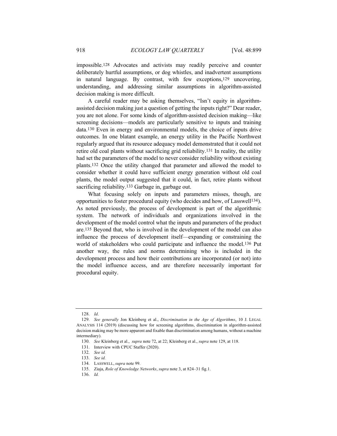impossible.128 Advocates and activists may readily perceive and counter deliberately hurtful assumptions, or dog whistles, and inadvertent assumptions in natural language. By contrast, with few exceptions,129 uncovering, understanding, and addressing similar assumptions in algorithm-assisted decision making is more difficult.

A careful reader may be asking themselves, "Isn't equity in algorithmassisted decision making just a question of getting the inputs right?" Dear reader, you are not alone. For some kinds of algorithm-assisted decision making—like screening decisions—models are particularly sensitive to inputs and training data.130 Even in energy and environmental models, the choice of inputs drive outcomes. In one blatant example, an energy utility in the Pacific Northwest regularly argued that its resource adequacy model demonstrated that it could not retire old coal plants without sacrificing grid reliability.131 In reality, the utility had set the parameters of the model to never consider reliability without existing plants.132 Once the utility changed that parameter and allowed the model to consider whether it could have sufficient energy generation without old coal plants, the model output suggested that it could, in fact, retire plants without sacrificing reliability.133 Garbage in, garbage out.

What focusing solely on inputs and parameters misses, though, are opportunities to foster procedural equity (who decides and how, of Lasswell134). As noted previously, the process of development is part of the algorithmic system. The network of individuals and organizations involved in the development of the model control what the inputs and parameters of the product are.135 Beyond that, who is involved in the development of the model can also influence the process of development itself—expanding or constraining the world of stakeholders who could participate and influence the model.136 Put another way, the rules and norms determining who is included in the development process and how their contributions are incorporated (or not) into the model influence access, and are therefore necessarily important for procedural equity.

<sup>128.</sup> *Id*.

<sup>129.</sup> *See generally* Jon Kleinberg et al., *Discrimination in the Age of Algorithms*, 10 J. LEGAL ANALYSIS 114 (2019) (discussing how for screening algorithms, discrimination in algorithm-assisted decision making may be more apparent and fixable than discrimination among humans, without a machine intermediary).

<sup>130.</sup> *See* Kleinberg et al., *supra* note 72, at 22; Kleinberg et al., *supra* note 129, at 118.

<sup>131.</sup> Interview with CPUC Staffer (2020).

<sup>132.</sup> *See id.*

<sup>133.</sup> *See id.*

<sup>134.</sup> LASSWELL, *supra* note 99.

<sup>135.</sup> Ziaja, *Role of Knowledge Networks*, *supra* note 3, at 824–31 fig.1.

<sup>136.</sup> *Id.*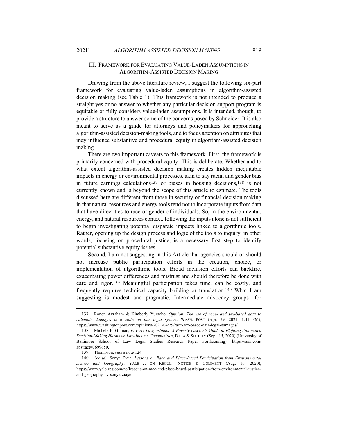#### III. FRAMEWORK FOR EVALUATING VALUE-LADEN ASSUMPTIONS IN ALGORITHM-ASSISTED DECISION MAKING

Drawing from the above literature review, I suggest the following six-part framework for evaluating value-laden assumptions in algorithm-assisted decision making (see Table 1). This framework is not intended to produce a straight yes or no answer to whether any particular decision support program is equitable or fully considers value-laden assumptions. It is intended, though, to provide a structure to answer some of the concerns posed by Schneider. It is also meant to serve as a guide for attorneys and policymakers for approaching algorithm-assisted decision-making tools, and to focus attention on attributes that may influence substantive and procedural equity in algorithm-assisted decision making.

There are two important caveats to this framework. First, the framework is primarily concerned with procedural equity. This is deliberate. Whether and to what extent algorithm-assisted decision making creates hidden inequitable impacts in energy or environmental processes, akin to say racial and gender bias in future earnings calculations137 or biases in housing decisions,138 is not currently known and is beyond the scope of this article to estimate. The tools discussed here are different from those in security or financial decision making in that natural resources and energy tools tend not to incorporate inputs from data that have direct ties to race or gender of individuals. So, in the environmental, energy, and natural resources context, following the inputs alone is not sufficient to begin investigating potential disparate impacts linked to algorithmic tools. Rather, opening up the design process and logic of the tools to inquiry, in other words, focusing on procedural justice, is a necessary first step to identify potential substantive equity issues.

Second, I am not suggesting in this Article that agencies should or should not increase public participation efforts in the creation, choice, or implementation of algorithmic tools. Broad inclusion efforts can backfire, exacerbating power differences and mistrust and should therefore be done with care and rigor.139 Meaningful participation takes time, can be costly, and frequently requires technical capacity building or translation.140 What I am suggesting is modest and pragmatic. Intermediate advocacy groups—for

<sup>137.</sup> Ronen Avraham & Kimberly Yuracko, *Opinion The use of race- and sex-based data to calculate damages is a stain on our legal system*, WASH. POST (Apr. 29, 2021, 1:41 PM), https://www.washingtonpost.com/opinions/2021/04/29/race-sex-based-data-legal-damages/.

<sup>138.</sup> Michele E. Gilman, *Poverty Lawgorithms A Poverty Lawyer's Guide to Fighting Automated Decision-Making Harms on Low-Income Communities*, DATA & SOCIETY (Sept. 15, 2020) (University of Baltimore School of Law Legal Studies Research Paper Forthcoming), https://ssrn.com/ abstract=3699650.

<sup>139.</sup> Thompson, *supra* note 124.

<sup>140.</sup> *See id.*; Sonya Ziaja, *Lessons on Race and Place-Based Participation from Environmental Justice and Geography*, YALE J. ON REGUL.: NOTICE & COMMENT (Aug. 16, 2020), https://www.yalejreg.com/nc/lessons-on-race-and-place-based-participation-from-environmental-justiceand-geography-by-sonya-ziaja/.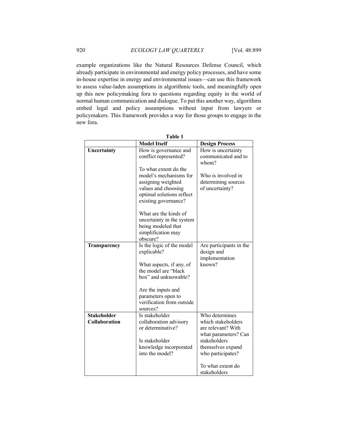example organizations like the Natural Resources Defense Council, which already participate in environmental and energy policy processes, and have some in-house expertise in energy and environmental issues—can use this framework to assess value-laden assumptions in algorithmic tools, and meaningfully open up this new policymaking fora to questions regarding equity in the world of normal human communication and dialogue. To put this another way, algorithms embed legal and policy assumptions without input from lawyers or policymakers. This framework provides a way for those groups to engage in the new fora.

| Table 1              |                                                                                                                                                   |                                                                  |  |  |
|----------------------|---------------------------------------------------------------------------------------------------------------------------------------------------|------------------------------------------------------------------|--|--|
|                      | <b>Model Itself</b>                                                                                                                               | <b>Design Process</b>                                            |  |  |
| Uncertainty          | How is governance and<br>conflict represented?                                                                                                    | How is uncertainty<br>communicated and to<br>whom?               |  |  |
|                      | To what extent do the<br>model's mechanisms for<br>assigning weighted<br>values and choosing<br>optimal solutions reflect<br>existing governance? | Who is involved in<br>determining sources<br>of uncertainty?     |  |  |
|                      | What are the kinds of<br>uncertainty in the system<br>being modeled that<br>simplification may<br>obscure?                                        |                                                                  |  |  |
| Transparency         | Is the logic of the model<br>explicable?                                                                                                          | Are participants in the<br>design and<br>implementation          |  |  |
|                      | What aspects, if any, of<br>the model are "black<br>box" and unknowable?                                                                          | known?                                                           |  |  |
|                      | Are the inputs and                                                                                                                                |                                                                  |  |  |
|                      | parameters open to<br>verification from outside<br>sources?                                                                                       |                                                                  |  |  |
| <b>Stakeholder</b>   | Is stakeholder                                                                                                                                    | Who determines                                                   |  |  |
| <b>Collaboration</b> | collaboration advisory<br>or determinative?                                                                                                       | which stakeholders<br>are relevant? With<br>what parameters? Can |  |  |
|                      | Is stakeholder                                                                                                                                    | stakeholders                                                     |  |  |
|                      | knowledge incorporated<br>into the model?                                                                                                         | themselves expand<br>who participates?                           |  |  |
|                      |                                                                                                                                                   | To what extent do<br>stakeholders                                |  |  |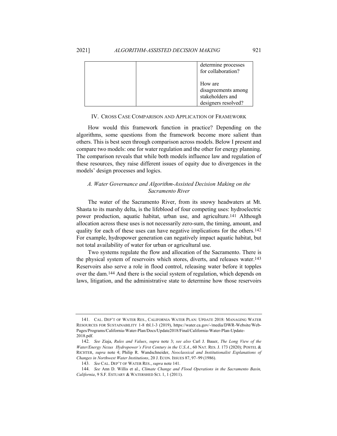| determine processes<br>for collaboration?                                 |
|---------------------------------------------------------------------------|
| How are<br>disagreements among<br>stakeholders and<br>designers resolved? |

#### IV. CROSS CASE COMPARISON AND APPLICATION OF FRAMEWORK

How would this framework function in practice? Depending on the algorithms, some questions from the framework become more salient than others. This is best seen through comparison across models. Below I present and compare two models: one for water regulation and the other for energy planning. The comparison reveals that while both models influence law and regulation of these resources, they raise different issues of equity due to divergences in the models' design processes and logics.

## *A. Water Governance and Algorithm-Assisted Decision Making on the Sacramento River*

The water of the Sacramento River, from its snowy headwaters at Mt. Shasta to its marshy delta, is the lifeblood of four competing uses: hydroelectric power production, aquatic habitat, urban use, and agriculture.141 Although allocation across these uses is not necessarily zero-sum, the timing, amount, and quality for each of these uses can have negative implications for the others.142 For example, hydropower generation can negatively impact aquatic habitat, but not total availability of water for urban or agricultural use.

Two systems regulate the flow and allocation of the Sacramento. There is the physical system of reservoirs which stores, diverts, and releases water.143 Reservoirs also serve a role in flood control, releasing water before it topples over the dam.144 And there is the social system of regulation, which depends on laws, litigation, and the administrative state to determine how those reservoirs

<sup>141.</sup> CAL. DEP'T OF WATER RES., CALIFORNIA WATER PLAN: UPDATE 2018: MANAGING WATER RESOURCES FOR SUSTAINABILITY 1-8 tbl.1-3 (2019), https://water.ca.gov/-/media/DWR-Website/Web-Pages/Programs/California-Water-Plan/Docs/Update2018/Final/California-Water-Plan-Update-2018.pdf.

<sup>142.</sup> *See* Ziaja, *Rules and Values*, *supra* note 3; *see also* Carl J. Bauer, *The Long View of the Water/Energy Nexus Hydropower's First Century in the U.S.A*., 60 NAT. RES. J. 173 (2020); POSTEL & RICHTER, *supra* note 4; Philip R. Wandschneider, *Neoclassical and Institutionalist Explanations of Changes in Northwest Water Institutions*, 20 J. ECON. ISSUES 87, 97–99 (1986).

<sup>143.</sup> *See* CAL. DEP'T OF WATER RES., *supra* note 141.

<sup>144.</sup> *See* Ann D. Willis et al., *Climate Change and Flood Operations in the Sacramento Basin, California*, 9 S.F. ESTUARY & WATERSHED SCI. 1, 1 (2011).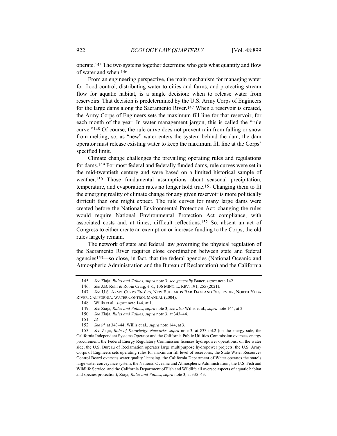operate.145 The two systems together determine who gets what quantity and flow of water and when.146

From an engineering perspective, the main mechanism for managing water for flood control, distributing water to cities and farms, and protecting stream flow for aquatic habitat, is a single decision: when to release water from reservoirs. That decision is predetermined by the U.S. Army Corps of Engineers for the large dams along the Sacramento River.147 When a reservoir is created, the Army Corps of Engineers sets the maximum fill line for that reservoir, for each month of the year. In water management jargon, this is called the "rule curve."148 Of course, the rule curve does not prevent rain from falling or snow from melting; so, as "new" water enters the system behind the dam, the dam operator must release existing water to keep the maximum fill line at the Corps' specified limit.

Climate change challenges the prevailing operating rules and regulations for dams.149 For most federal and federally funded dams, rule curves were set in the mid-twentieth century and were based on a limited historical sample of weather.150 Those fundamental assumptions about seasonal precipitation, temperature, and evaporation rates no longer hold true.151 Changing them to fit the emerging reality of climate change for any given reservoir is more politically difficult than one might expect. The rule curves for many large dams were created before the National Environmental Protection Act; changing the rules would require National Environmental Protection Act compliance, with associated costs and, at times, difficult reflections.152 So, absent an act of Congress to either create an exemption or increase funding to the Corps, the old rules largely remain.

The network of state and federal law governing the physical regulation of the Sacramento River requires close coordination between state and federal agencies153—so close, in fact, that the federal agencies (National Oceanic and Atmospheric Administration and the Bureau of Reclamation) and the California

<sup>145</sup>*. See* Ziaja, *Rules and Values*, *supra* note 3; *see generally* Bauer, *supra* note 142.

<sup>146.</sup> *See* J.B. Ruhl & Robin Craig, *4°C*, 106 MINN. L. REV. 191, 255 (2021).

<sup>147.</sup> *See* U.S. ARMY CORPS ENG'RS, NEW BULLARDS BAR DAM AND RESERVOIR, NORTH YUBA RIVER, CALIFORNIA: WATER CONTROL MANUAL (2004).

<sup>148</sup>*.* Willis et al., *supra* note 144, at 1.

<sup>149.</sup> *See* Ziaja, *Rules and Values*, *supra* note 3; *see also* Willis et al., *supra* note 144, at 2.

<sup>150.</sup> *See* Ziaja, *Rules and Values*, *supra* note 3, at 343–44.

<sup>151.</sup> *Id.*

<sup>152</sup>*. See id.* at 343–44; Willis et al., *supra* note 144, at 3.

<sup>153.</sup> *See* Ziaja, *Role of Knowledge Networks*, *supra* note 3, at 833 tbl.2 (on the energy side, the California Independent Systems Operator and the California Public Utilities Commission oversees energy procurement, the Federal Energy Regulatory Commission licenses hydropower operations; on the water side, the U.S. Bureau of Reclamation operates large multipurpose hydropower projects, the U.S. Army Corps of Engineers sets operating rules for maximum fill level of reservoirs, the State Water Resources Control Board oversees water quality licensing, the California Department of Water operates the state's large water conveyance system; the National Oceanic and Atmospheric Administration , the U.S. Fish and Wildlife Service, and the California Department of Fish and Wildlife all oversee aspects of aquatic habitat and species protection); Ziaja, *Rules and Values*, *supra* note 3, at 335–43.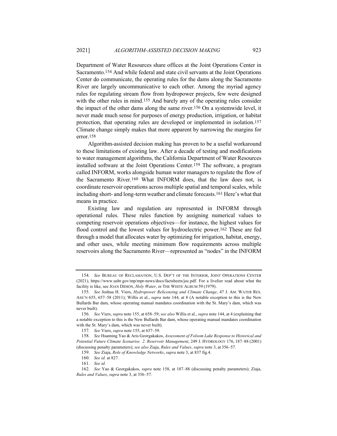Department of Water Resources share offices at the Joint Operations Center in Sacramento.154 And while federal and state civil servants at the Joint Operations Center do communicate, the operating rules for the dams along the Sacramento River are largely uncommunicative to each other. Among the myriad agency rules for regulating stream flow from hydropower projects, few were designed with the other rules in mind.<sup>155</sup> And barely any of the operating rules consider the impact of the other dams along the same river.156 On a systemwide level, it never made much sense for purposes of energy production, irrigation, or habitat protection, that operating rules are developed or implemented in isolation.157 Climate change simply makes that more apparent by narrowing the margins for error.158

Algorithm-assisted decision making has proven to be a useful workaround to these limitations of existing law. After a decade of testing and modifications to water management algorithms, the California Department of Water Resources installed software at the Joint Operations Center.159 The software, a program called INFORM, works alongside human water managers to regulate the flow of the Sacramento River.160 What INFORM does, that the law does not, is coordinate reservoir operations across multiple spatial and temporal scales, while including short- and long-term weather and climate forecasts.161 Here's what that means in practice.

Existing law and regulation are represented in INFORM through operational rules. These rules function by assigning numerical values to competing reservoir operations objectives—for instance, the highest values for flood control and the lowest values for hydroelectric power.162 These are fed through a model that allocates water by optimizing for irrigation, habitat, energy, and other uses, while meeting minimum flow requirements across multiple reservoirs along the Sacramento River—represented as "nodes" in the INFORM

<sup>154.</sup> *See* BUREAU OF RECLAMATION, U.S. DEP'T OF THE INTERIOR, JOINT OPERATIONS CENTER (2021), https://www.usbr.gov/mp/mpr-news/docs/factsheets/joc.pdf. For a livelier read about what the facility is like, see JOAN DIDION, *Holy Water*, *in* THE WHITE ALBUM 59 (1979).

<sup>155.</sup> *See* Joshua H. Viers, *Hydropower Relicensing and Climate Change*, 47 J. AM. WATER RES. ASS'N 655, 657–58 (2011); Willis et al., *supra* note 144, at 8 (A notable exception to this is the New Bullards Bar dam, whose operating manual mandates coordination with the St. Mary's dam, which was never built).

<sup>156.</sup> *See* Viers, *supra* note 155, at 658–59; *see also* Willis et al., *supra* note 144, at 4 (explaining that a notable exception to this is the New Bullards Bar dam, whose operating manual mandates coordination with the St. Mary's dam, which was never built).

<sup>157</sup>*. See* Viers, *supra* note 155, at 657–59.

<sup>158.</sup> *See* Huaming Yao & Aris Georgakakos, *Assessment of Folsom Lake Response to Historical and Potential Future Climate Scenarios 2. Reservoir Management*, 249 J. HYDROLOGY 176, 187–88 (2001) (discussing penalty parameters); *see also* Ziaja, *Rules and Values*, *supra* note 3, at 356–57.

<sup>159.</sup> *See* Ziaja, *Role of Knowledge Networks*, *supra* note 3, at 837 fig.4.

<sup>160.</sup> *See id.* at 827.

<sup>161.</sup> *See id.*

<sup>162.</sup> *See* Yao & Georgakakos, *supra* note 158, at 187–88 (discussing penalty parameters); Ziaja, *Rules and Values*, *supra* note 3, at 356–57.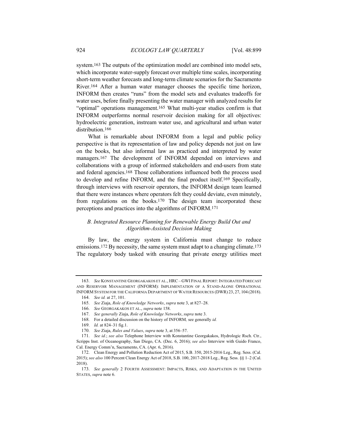system.163 The outputs of the optimization model are combined into model sets, which incorporate water-supply forecast over multiple time scales, incorporating short-term weather forecasts and long-term climate scenarios for the Sacramento River.164 After a human water manager chooses the specific time horizon, INFORM then creates "runs" from the model sets and evaluates tradeoffs for water uses, before finally presenting the water manager with analyzed results for "optimal" operations management.165 What multi-year studies confirm is that INFORM outperforms normal reservoir decision making for all objectives: hydroelectric generation, instream water use, and agricultural and urban water distribution.<sup>166</sup>

What is remarkable about INFORM from a legal and public policy perspective is that its representation of law and policy depends not just on law on the books, but also informal law as practiced and interpreted by water managers.167 The development of INFORM depended on interviews and collaborations with a group of informed stakeholders and end-users from state and federal agencies.168 Those collaborations influenced both the process used to develop and refine INFORM, and the final product itself.169 Specifically, through interviews with reservoir operators, the INFORM design team learned that there were instances where operators felt they could deviate, even minutely, from regulations on the books.170 The design team incorporated these perceptions and practices into the algorithms of INFORM.171

## *B. Integrated Resource Planning for Renewable Energy Build Out and Algorithm-Assisted Decision Making*

By law, the energy system in California must change to reduce emissions.<sup>172</sup> By necessity, the same system must adapt to a changing climate.<sup>173</sup> The regulatory body tasked with ensuring that private energy utilities meet

<sup>163.</sup> *See* KONSTANTINE GEORGAKAKOS ET AL., HRC – GWI FINAL REPORT:INTEGRATED FORECAST AND RESERVOIR MANAGEMENT (INFORM): IMPLEMENTATION OF A STAND-ALONE OPERATIONAL INFORM SYSTEM FOR THE CALIFORNIA DEPARTMENT OF WATER RESOURCES (DWR) 23, 27, 104 (2018).

<sup>164.</sup> *See id.* at 27, 101.

<sup>165.</sup> *See* Ziaja, *Role of Knowledge Networks*, *supra* note 3, at 827–28.

<sup>166.</sup> *See* GEORGAKAKOS ET AL., *supra* note 158.

<sup>167.</sup> *See generally* Ziaja, *Role of Knowledge Networks*, *supra* note 3.

<sup>168.</sup> For a detailed discussion on the history of INFORM*,* see generally *id.*

<sup>169.</sup> *Id.* at 824–31 fig.1.

<sup>170.</sup> *See* Ziaja, *Rules and Values*, *supra* note 3, at 356–57.

<sup>171.</sup> *See id.*; *see also* Telephone Interview with Konstantine Georgakakos, Hydrologic Rsch. Ctr., Scripps Inst. of Oceanography, San Diego, CA. (Dec. 6, 2016); *see also* Interview with Guido Franco, Cal. Energy Comm'n, Sacramento, CA. (Apr. 6, 2016).

<sup>172.</sup> Clean Energy and Pollution Reduction Act of 2015, S.B. 350, 2015-2016 Leg., Reg. Sess. (Cal. 2015); *see also* 100 Percent Clean Energy Act of 2018, S.B. 100, 2017-2018 Leg., Reg. Sess. §§ 1–2 (Cal. 2018).

<sup>173.</sup> *See generally* 2 FOURTH ASSESSMENT: IMPACTS, RISKS, AND ADAPTATION IN THE UNITED STATES, *supra* note 6.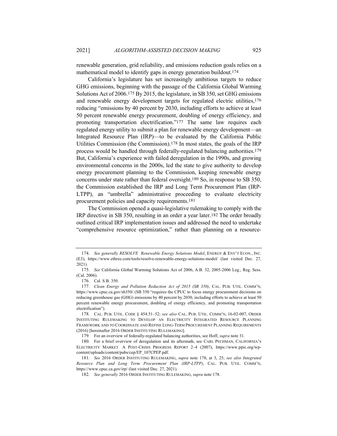renewable generation, grid reliability, and emissions reduction goals relies on a mathematical model to identify gaps in energy generation buildout.174

California's legislature has set increasingly ambitious targets to reduce GHG emissions, beginning with the passage of the California Global Warming Solutions Act of 2006.175 By 2015, the legislature, in SB 350, set GHG emissions and renewable energy development targets for regulated electric utilities,176 reducing "emissions by 40 percent by 2030, including efforts to achieve at least 50 percent renewable energy procurement, doubling of energy efficiency, and promoting transportation electrification."177 The same law requires each regulated energy utility to submit a plan for renewable energy development—an Integrated Resource Plan (IRP)—to be evaluated by the California Public Utilities Commission (the Commission).178 In most states, the goals of the IRP process would be handled through federally-regulated balancing authorities.179 But, California's experience with failed deregulation in the 1990s, and growing environmental concerns in the 2000s, led the state to give authority to develop energy procurement planning to the Commission, keeping renewable energy concerns under state rather than federal oversight.180 So, in response to SB 350, the Commission established the IRP and Long Term Procurement Plan (IRP-LTPP), an "umbrella" administrative proceeding to evaluate electricity procurement policies and capacity requirements.181

The Commission opened a quasi-legislative rulemaking to comply with the IRP directive in SB 350, resulting in an order a year later.182 The order broadly outlined critical IRP implementation issues and addressed the need to undertake "comprehensive resource optimization," rather than planning on a resource-

<sup>174.</sup> *See generally RESOLVE Renewable Energy Solutions Model*, ENERGY & ENV'T ECON., INC. (E3), https://www.ethree.com/tools/resolve-renewable-energy-solutions-model/ (last visited Dec. 27, 2021).

<sup>175.</sup> *See* California Global Warming Solutions Act of 2006, A.B. 32, 2005-2006 Leg., Reg. Sess. (Cal. 2006).

<sup>176.</sup> Cal. S.B. 350.

<sup>177.</sup> *Clean Energy and Pollution Reduction Act of 2015 (SB 350)*, CAL. PUB. UTIL. COMM'N, https://www.cpuc.ca.gov/sb350/ (SB 350 "requires the CPUC to focus energy procurement decisions on reducing greenhouse gas (GHG) emissions by 40 percent by 2030, including efforts to achieve at least 50 percent renewable energy procurement, doubling of energy efficiency, and promoting transportation electrification").

<sup>178.</sup> CAL. PUB. UTIL. CODE § 454.51–52; *see also* CAL. PUB. UTIL. COMM'N, 16-02-007, ORDER INSTITUTING RULEMAKING TO DEVELOP AN ELECTRICITY INTEGRATED RESOURCE PLANNING FRAMEWORK AND TO COORDINATE AND REFINE LONG-TERM PROCUREMENT PLANNING REQUIREMENTS (2016) [hereinafter 2016 ORDER INSTITUTING RULEMAKING].

<sup>179.</sup> For an overview of federally-regulated balancing authorities, see Hoff, *supra* note 31.

<sup>180.</sup> For a brief overview of deregulation and its aftermath, see CARL PECHMAN, CALIFORNIA'S ELECTRICITY MARKET A POST-CRISIS PROGRESS REPORT 2–4 (2007), https://www.ppic.org/wpcontent/uploads/content/pubs/cep/EP\_107CPEP.pdf.

<sup>181.</sup> *See* 2016 ORDER INSTITUTING RULEMAKING, *supra* note 178, at 3, 25; *see also Integrated Resource Plan and Long Term Procurement Plan (IRP-LTPP)*, CAL. PUB. UTIL. COMM'N, https://www.cpuc.ca.gov/irp/ (last visited Dec. 27, 2021).

<sup>182.</sup> *See generally* 2016 ORDER INSTITUTING RULEMAKING, *supra* note 178.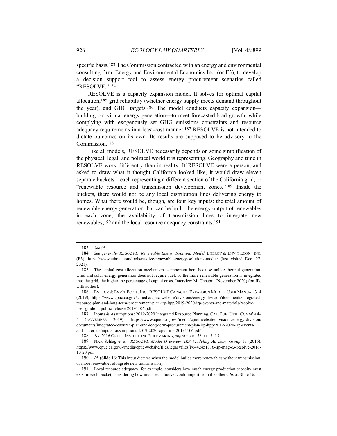specific basis.183 The Commission contracted with an energy and environmental consulting firm, Energy and Environmental Economics Inc. (or E3), to develop a decision support tool to assess energy procurement scenarios called "RESOLVE."184

RESOLVE is a capacity expansion model. It solves for optimal capital allocation,185 grid reliability (whether energy supply meets demand throughout the year), and GHG targets.186 The model conducts capacity expansion building out virtual energy generation—to meet forecasted load growth, while complying with exogenously set GHG emissions constraints and resource adequacy requirements in a least-cost manner.187 RESOLVE is not intended to dictate outcomes on its own. Its results are supposed to be advisory to the Commission.188

Like all models, RESOLVE necessarily depends on some simplification of the physical, legal, and political world it is representing. Geography and time in RESOLVE work differently than in reality. If RESOLVE were a person, and asked to draw what it thought California looked like, it would draw eleven separate buckets—each representing a different section of the California grid, or "renewable resource and transmission development zones."189 Inside the buckets, there would not be any local distribution lines delivering energy to homes. What there would be, though, are four key inputs: the total amount of renewable energy generation that can be built; the energy output of renewables in each zone; the availability of transmission lines to integrate new renewables;190 and the local resource adequacy constraints.191

<sup>183.</sup> *See id*.

<sup>184.</sup> *See generally RESOLVE Renewable Energy Solutions Model*, ENERGY & ENV'T ECON., INC. (E3), https://www.ethree.com/tools/resolve-renewable-energy-solutions-model/ (last visited Dec. 27, 2021).

<sup>185.</sup> The capital cost allocation mechanism is important here because unlike thermal generation, wind and solar energy generation does not require fuel; so the more renewable generation is integrated into the grid, the higher the percentage of capital costs. Interview M. Chhabra (November 2020) (on file with author).

<sup>186.</sup> ENERGY & ENV'T ECON., INC., RESOLVE CAPACITY EXPANSION MODEL: USER MANUAL 3–4 (2019), https://www.cpuc.ca.gov/-/media/cpuc-website/divisions/energy-division/documents/integratedresource-plan-and-long-term-procurement-plan-irp-ltpp/2019-2020-irp-events-and-materials/resolveuser-guide—-public-release-20191106.pdf.

<sup>187.</sup> Inputs & Assumptions: 2019-2020 Integrated Resource Planning, CAL. PUB. UTIL. COMM'N 4– 5 (NOVEMBER 2019), https://www.cpuc.ca.gov/-/media/cpuc-website/divisions/energy-division/ documents/integrated-resource-plan-and-long-term-procurement-plan-irp-ltpp/2019-2020-irp-eventsand-materials/inputs--assumptions-2019-2020-cpuc-irp\_20191106.pdf.

<sup>188.</sup> *See* 2016 ORDER INSTITUTING RULEMAKING, *supra* note 178, at 13–15.

<sup>189.</sup> Nick Schlag et al., *RESOLVE Model Overview IRP Modeling Advisory Group* 15 (2016). https://www.cpuc.ca.gov/-/media/cpuc-website/files/legacyfiles/i/6442451316-irp-mag-e3-resolve-2016- 10-20.pdf.

<sup>190.</sup> *Id.* (Slide 16: This input dictates when the model builds more renewables without transmission, or more renewables alongside new transmission).

<sup>191.</sup> Local resource adequacy, for example, considers how much energy production capacity must exist in each bucket, considering how much each bucket could import from the others. *Id.* at Slide 16.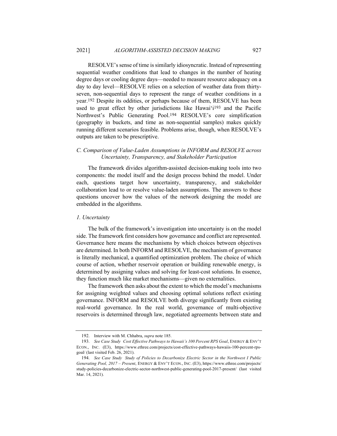RESOLVE's sense of time is similarly idiosyncratic. Instead of representing sequential weather conditions that lead to changes in the number of heating degree days or cooling degree days—needed to measure resource adequacy on a day to day level—RESOLVE relies on a selection of weather data from thirtyseven, non-sequential days to represent the range of weather conditions in a year.192 Despite its oddities, or perhaps because of them, RESOLVE has been used to great effect by other jurisdictions like Hawaiʻi193 and the Pacific Northwest's Public Generating Pool.194 RESOLVE's core simplification (geography in buckets, and time as non-sequential samples) makes quickly running different scenarios feasible. Problems arise, though, when RESOLVE's outputs are taken to be prescriptive.

## *C. Comparison of Value-Laden Assumptions in INFORM and RESOLVE across Uncertainty, Transparency, and Stakeholder Participation*

The framework divides algorithm-assisted decision-making tools into two components: the model itself and the design process behind the model. Under each, questions target how uncertainty, transparency, and stakeholder collaboration lead to or resolve value-laden assumptions. The answers to these questions uncover how the values of the network designing the model are embedded in the algorithms.

## *1. Uncertainty*

The bulk of the framework's investigation into uncertainty is on the model side. The framework first considers how governance and conflict are represented. Governance here means the mechanisms by which choices between objectives are determined. In both INFORM and RESOLVE, the mechanism of governance is literally mechanical, a quantified optimization problem. The choice of which course of action, whether reservoir operation or building renewable energy, is determined by assigning values and solving for least-cost solutions. In essence, they function much like market mechanisms—given no externalities.

The framework then asks about the extent to which the model's mechanisms for assigning weighted values and choosing optimal solutions reflect existing governance. INFORM and RESOLVE both diverge significantly from existing real-world governance. In the real world, governance of multi-objective reservoirs is determined through law, negotiated agreements between state and

<sup>192.</sup> Interview with M. Chhabra, *supra* note 185.

<sup>193.</sup> See Case Study Cost Effective Pathways to Hawaii's 100 Percent RPS Goal, ENERGY & ENV'T ECON., INC. (E3), https://www.ethree.com/projects/cost-effective-pathways-hawaiis-100-percent-rpsgoal/ (last visited Feb. 26, 2021).

<sup>194.</sup> *See Case Study Study of Policies to Decarbonize Electric Sector in the Northwest I Public Generating Pool, 2017 – Present*, ENERGY & ENV'T ECON., INC. (E3), https://www.ethree.com/projects/ study-policies-decarbonize-electric-sector-northwest-public-generating-pool-2017-present/ (last visited Mar. 14, 2021).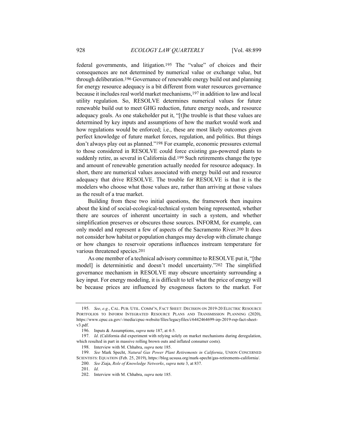federal governments, and litigation.195 The "value" of choices and their consequences are not determined by numerical value or exchange value, but through deliberation.196 Governance of renewable energy build out and planning for energy resource adequacy is a bit different from water resources governance because it includes real world market mechanisms,197 in addition to law and local utility regulation. So, RESOLVE determines numerical values for future renewable build out to meet GHG reduction, future energy needs, and resource adequacy goals. As one stakeholder put it, "[t]he trouble is that these values are determined by key inputs and assumptions of how the market would work and how regulations would be enforced; i.e., these are most likely outcomes given perfect knowledge of future market forces, regulation, and politics. But things don't always play out as planned."198 For example, economic pressures external to those considered in RESOLVE could force existing gas-powered plants to suddenly retire, as several in California did.199 Such retirements change the type and amount of renewable generation actually needed for resource adequacy. In short, there are numerical values associated with energy build out and resource adequacy that drive RESOLVE. The trouble for RESOLVE is that it is the modelers who choose what those values are, rather than arriving at those values as the result of a true market.

Building from these two initial questions, the framework then inquires about the kind of social-ecological-technical system being represented, whether there are sources of inherent uncertainty in such a system, and whether simplification preserves or obscures those sources. INFORM, for example, can only model and represent a few of aspects of the Sacramento River.200 It does not consider how habitat or population changes may develop with climate change or how changes to reservoir operations influences instream temperature for various threatened species.201

As one member of a technical advisory committee to RESOLVE put it, "[the model] is deterministic and doesn't model uncertainty."202 The simplified governance mechanism in RESOLVE may obscure uncertainty surrounding a key input. For energy modeling, it is difficult to tell what the price of energy will be because prices are influenced by exogenous factors to the market. For

<sup>195.</sup> *See*, *e.g.*, CAL. PUB. UTIL. COMM'N, FACT SHEET: DECISION ON 2019-20 ELECTRIC RESOURCE PORTFOLIOS TO INFORM INTEGRATED RESOURCE PLANS AND TRANSMISSION PLANNING (2020), https://www.cpuc.ca.gov/-/media/cpuc-website/files/legacyfiles/i/6442464699-irp-2019-rsp-fact-sheetv3.pdf.

<sup>196.</sup> Inputs & Assumptions, *supra* note 187, at 4-5.

<sup>197.</sup> *Id*. (California did experiment with relying solely on market mechanisms during deregulation, which resulted in part in massive rolling brown outs and inflated consumer costs).

<sup>198.</sup> Interview with M. Chhabra, *supra* note 185.

<sup>199.</sup> *See* Mark Specht, *Natural Gas Power Plant Retirements in California*, UNION CONCERNED SCIENTISTS: EQUATION (Feb. 25, 2019), https://blog.ucsusa.org/mark-specht/gas-retirements-california/.

<sup>200.</sup> *See* Ziaja, *Role of Knowledge Networks*, *supra* note 3, at 837.

<sup>201.</sup> *Id*.

<sup>202.</sup> Interview with M. Chhabra, *supra* note 185.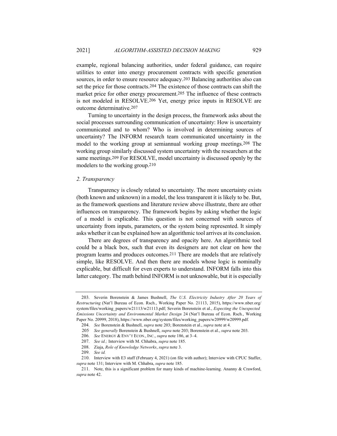example, regional balancing authorities, under federal guidance, can require utilities to enter into energy procurement contracts with specific generation sources, in order to ensure resource adequacy.203 Balancing authorities also can set the price for those contracts.204 The existence of those contracts can shift the market price for other energy procurement.205 The influence of these contracts is not modeled in RESOLVE.206 Yet, energy price inputs in RESOLVE are outcome determinative.207

Turning to uncertainty in the design process, the framework asks about the social processes surrounding communication of uncertainty: How is uncertainty communicated and to whom? Who is involved in determining sources of uncertainty? The INFORM research team communicated uncertainty in the model to the working group at semiannual working group meetings.208 The working group similarly discussed system uncertainty with the researchers at the same meetings.209 For RESOLVE, model uncertainty is discussed openly by the modelers to the working group.210

### *2. Transparency*

Transparency is closely related to uncertainty. The more uncertainty exists (both known and unknown) in a model, the less transparent it is likely to be. But, as the framework questions and literature review above illustrate, there are other influences on transparency. The framework begins by asking whether the logic of a model is explicable. This question is not concerned with sources of uncertainty from inputs, parameters, or the system being represented. It simply asks whether it can be explained how an algorithmic tool arrives at its conclusion.

There are degrees of transparency and opacity here. An algorithmic tool could be a black box, such that even its designers are not clear on how the program learns and produces outcomes.211 There are models that are relatively simple, like RESOLVE. And then there are models whose logic is nominally explicable, but difficult for even experts to understand. INFORM falls into this latter category. The math behind INFORM is not unknowable, but it is especially

<sup>203.</sup> Severin Borenstein & James Bushnell, *The U.S. Electricity Industry After 20 Years of Restructuring* (Nat'l Bureau of Econ. Rsch., Working Paper No. 21113, 2015), https://www.nber.org/ system/files/working\_papers/w21113/w21113.pdf; Severin Borenstein et al., *Expecting the Unexpected Emissions Uncertainty and Environmental Market Design* 24 (Nat'l Bureau of Econ. Rsch., Working Paper No. 20999, 2018), https://www.nber.org/system/files/working\_papers/w20999/w20999.pdf.

<sup>204.</sup> *See* Borenstein & Bushnell, *supra* note 203; Borenstein et al., *supra* note at 4.

<sup>205.</sup> *See generally* Borenstein & Bushnell, *supra* note 203; Borenstein et al., *supra* note 203.

<sup>206.</sup> *See* ENERGY & ENV'T ECON., INC., *supra* note 186, at 3–4.

<sup>207.</sup> *See id.;* Interview with M. Chhabra, *supra* note 185.

<sup>208.</sup> Ziaja, *Role of Knowledge Networks*, *supra* note 3.

<sup>209.</sup> *See id.*

<sup>210.</sup> Interview with E3 staff (February 4, 2021) (on file with author); Interview with CPUC Staffer, *supra* note 131; Interview with M. Chhabra, *supra* note 185.

<sup>211.</sup> Note, this is a significant problem for many kinds of machine-learning. Ananny & Crawford, *supra* note 42.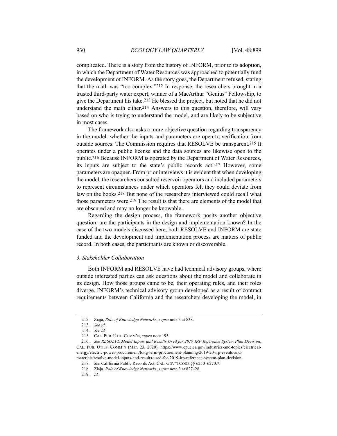complicated. There is a story from the history of INFORM, prior to its adoption, in which the Department of Water Resources was approached to potentially fund the development of INFORM. As the story goes, the Department refused, stating that the math was "too complex."212 In response, the researchers brought in a trusted third-party water expert, winner of a MacArthur "Genius" Fellowship, to give the Department his take.213 He blessed the project, but noted that he did not understand the math either.214 Answers to this question, therefore, will vary based on who is trying to understand the model, and are likely to be subjective in most cases.

The framework also asks a more objective question regarding transparency in the model: whether the inputs and parameters are open to verification from outside sources. The Commission requires that RESOLVE be transparent.215 It operates under a public license and the data sources are likewise open to the public.216 Because INFORM is operated by the Department of Water Resources, its inputs are subject to the state's public records act.217 However, some parameters are opaquer. From prior interviews it is evident that when developing the model, the researchers consulted reservoir operators and included parameters to represent circumstances under which operators felt they could deviate from law on the books.218 But none of the researchers interviewed could recall what those parameters were.219 The result is that there are elements of the model that are obscured and may no longer be knowable.

Regarding the design process, the framework posits another objective question: are the participants in the design and implementation known? In the case of the two models discussed here, both RESOLVE and INFORM are state funded and the development and implementation process are matters of public record. In both cases, the participants are known or discoverable.

#### *3. Stakeholder Collaboration*

Both INFORM and RESOLVE have had technical advisory groups, where outside interested parties can ask questions about the model and collaborate in its design. How those groups came to be, their operating rules, and their roles diverge. INFORM's technical advisory group developed as a result of contract requirements between California and the researchers developing the model, in

<sup>212.</sup> Ziaja, *Role of Knowledge Networks*, *supra* note 3 at 838.

<sup>213.</sup> *See id.*

<sup>214</sup>*. See id.*

<sup>215.</sup> CAL. PUB. UTIL. COMM'N, *supra* note 195.

<sup>216.</sup> *See RESOLVE Model Inputs and Results Used for 2019 IRP Reference System Plan Decision*, CAL. PUB. UTILS. COMM'N (Mar. 23, 2020), https://www.cpuc.ca.gov/industries-and-topics/electricalenergy/electric-power-procurement/long-term-procurement-planning/2019-20-irp-events-and-

materials/resolve-model-inputs-and-results-used-for-2019-irp-reference-system-plan-decision.

<sup>217.</sup> *See* California Public Records Act, CAL. GOV'T CODE §§ 6250–6270.7.

<sup>218.</sup> Ziaja, *Role of Knowledge Networks*, *supra* note 3 at 827–28.

<sup>219.</sup> *Id.*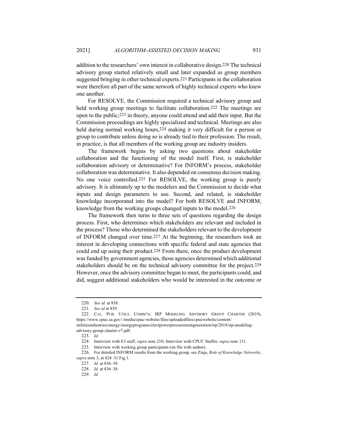addition to the researchers' own interest in collaborative design.220 The technical advisory group started relatively small and later expanded as group members suggested bringing in other technical experts.221 Participants in the collaboration were therefore all part of the same network of highly technical experts who knew one another.

For RESOLVE, the Commission required a technical advisory group and held working group meetings to facilitate collaboration.<sup>222</sup> The meetings are open to the public;223 in theory, anyone could attend and add their input. But the Commission proceedings are highly specialized and technical. Meetings are also held during normal working hours,224 making it very difficult for a person or group to contribute unless doing so is already tied to their profession. The result, in practice, is that all members of the working group are industry insiders.

The framework begins by asking two questions about stakeholder collaboration and the functioning of the model itself. First, is stakeholder collaboration advisory or determinative? For INFORM's process, stakeholder collaboration was determinative. It also depended on consensus decision making. No one voice controlled.225 For RESOLVE, the working group is purely advisory. It is ultimately up to the modelers and the Commission to decide what inputs and design parameters to use. Second, and related, is stakeholder knowledge incorporated into the model? For both RESOLVE and INFORM, knowledge from the working groups changed inputs to the model.226

The framework then turns to three sets of questions regarding the design process. First, who determines which stakeholders are relevant and included in the process? Those who determined the stakeholders relevant to the development of INFORM changed over time.227 At the beginning, the researchers took an interest in developing connections with specific federal and state agencies that could end up using their product.228 From there, once the product development was funded by government agencies, those agencies determined which additional stakeholders should be on the technical advisory committee for the project.229 However, once the advisory committee began to meet, the participants could, and did, suggest additional stakeholders who would be interested in the outcome or

<sup>220.</sup> *See id.* at 838.

<sup>221.</sup> *See id* at 839*.*

<sup>222.</sup> CAL. PUB. UTILS. COMM'N, IRP MODELING ADVISORY GROUP CHARTER (2019), https://www.cpuc.ca.gov/-/media/cpuc-website/files/uploadedfiles/cpucwebsite/content/

utilitiesindustries/energy/energyprograms/electpowerprocurementgeneration/irp/2018/irp-modelingadvisory-group-charter-v7.pdf.

<sup>223.</sup> *Id.*

<sup>224.</sup> Interview with E3 staff, *supra* note 210; Interview with CPUC Staffer, *supra* note 131.

<sup>225.</sup> Interview with working group participants (on file with author).

<sup>226.</sup> For detailed INFORM results from the working group, see Ziaja, *Role of Knowledge Networks*, *supra* note 3, at 824–31 Fig.1.

<sup>227.</sup> *Id.* at 836–39.

<sup>228.</sup> *Id.* at 836–38.

<sup>229.</sup> *Id.*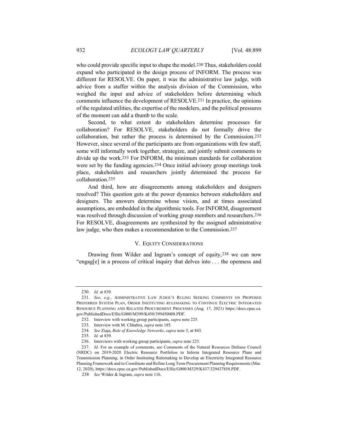who could provide specific input to shape the model.<sup>230</sup> Thus, stakeholders could expand who participated in the design process of INFORM. The process was different for RESOLVE. On paper, it was the administrative law judge, with advice from a staffer within the analysis division of the Commission, who weighed the input and advice of stakeholders before determining which comments influence the development of RESOLVE.231 In practice, the opinions of the regulated utilities, the expertise of the modelers, and the political pressures of the moment can add a thumb to the scale.

Second, to what extent do stakeholders determine processes for collaboration? For RESOLVE, stakeholders do not formally drive the collaboration, but rather the process is determined by the Commission.232 However, since several of the participants are from organizations with few staff, some will informally work together, strategize, and jointly submit comments to divide up the work.233 For INFORM, the minimum standards for collaboration were set by the funding agencies.234 Once initial advisory group meetings took place, stakeholders and researchers jointly determined the process for collaboration.235

And third, how are disagreements among stakeholders and designers resolved? This question gets at the power dynamics between stakeholders and designers. The answers determine whose vision, and at times associated assumptions, are embedded in the algorithmic tools. For INFORM, disagreement was resolved through discussion of working group members and researchers.236 For RESOLVE, disagreements are synthesized by the assigned administrative law judge, who then makes a recommendation to the Commission.237

#### V. EQUITY CONSIDERATIONS

Drawing from Wilder and Ingram's concept of equity,238 we can now "engag[e] in a process of critical inquiry that delves into . . . the openness and

<sup>230.</sup> *Id.* at 839.

<sup>231.</sup> *See*, *e.g*., ADMINISTRATIVE LAW JUDGE'S RULING SEEKING COMMENTS ON PROPOSED PREFERRED SYSTEM PLAN, ORDER INSTITUTING RULEMAKING TO CONTINUE ELECTRIC INTEGRATED RESOURCE PLANNING AND RELATED PROCUREMENT PROCESSES (Aug. 17, 2021) https://docs.cpuc.ca. gov/PublishedDocs/Efile/G000/M399/K450/399450008.PDF.

<sup>232.</sup> Interview with working group participants, *supra* note 225.

<sup>233.</sup> Interview with M. Chhabra, *supra* note 185.

<sup>234.</sup> *See* Ziaja, *Role of Knowledge Networks*, *supra* note 3, at 843.

<sup>235.</sup> *Id.* at 839.

<sup>236.</sup> Interviews with working group participants, *supra* note 225.

<sup>237.</sup> *Id*. For an example of comments, see Comments of the Natural Resources Defense Council (NRDC) on 2019-2020 Electric Resource Portfolios to Inform Integrated Resource Plans and Transmission Planning, in Order Instituting Rulemaking to Develop an Electricity Integrated Resource Planning Framework and to Coordinate and Refine Long Term Procurement Planning Requirements (Mar. 12, 2020), https://docs.cpuc.ca.gov/PublishedDocs/Efile/G000/M329/K437/329437858.PDF.

<sup>238.</sup> *See* Wilder & Ingram, *supra* note 116.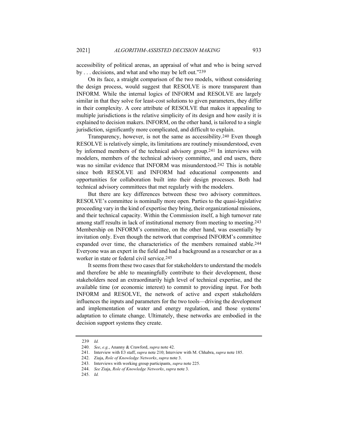accessibility of political arenas, an appraisal of what and who is being served by . . . decisions, and what and who may be left out."239

On its face, a straight comparison of the two models, without considering the design process, would suggest that RESOLVE is more transparent than INFORM. While the internal logics of INFORM and RESOLVE are largely similar in that they solve for least-cost solutions to given parameters, they differ in their complexity. A core attribute of RESOLVE that makes it appealing to multiple jurisdictions is the relative simplicity of its design and how easily it is explained to decision makers. INFORM, on the other hand, is tailored to a single jurisdiction, significantly more complicated, and difficult to explain.

Transparency, however, is not the same as accessibility.240 Even though RESOLVE is relatively simple, its limitations are routinely misunderstood, even by informed members of the technical advisory group.241 In interviews with modelers, members of the technical advisory committee, and end users, there was no similar evidence that INFORM was misunderstood.242 This is notable since both RESOLVE and INFORM had educational components and opportunities for collaboration built into their design processes. Both had technical advisory committees that met regularly with the modelers.

But there are key differences between these two advisory committees. RESOLVE's committee is nominally more open. Parties to the quasi-legislative proceeding vary in the kind of expertise they bring, their organizational missions, and their technical capacity. Within the Commission itself, a high turnover rate among staff results in lack of institutional memory from meeting to meeting.243 Membership on INFORM's committee, on the other hand, was essentially by invitation only. Even though the network that comprised INFORM's committee expanded over time, the characteristics of the members remained stable.244 Everyone was an expert in the field and had a background as a researcher or as a worker in state or federal civil service.245

It seems from these two cases that for stakeholders to understand the models and therefore be able to meaningfully contribute to their development, those stakeholders need an extraordinarily high level of technical expertise, and the available time (or economic interest) to commit to providing input. For both INFORM and RESOLVE, the network of active and expert stakeholders influences the inputs and parameters for the two tools—driving the development and implementation of water and energy regulation, and those systems' adaptation to climate change. Ultimately, these networks are embodied in the decision support systems they create.

<sup>239.</sup> *Id.*

<sup>240.</sup> *See*, *e.g.*, Ananny & Crawford, *supra* note 42.

<sup>241.</sup> Interview with E3 staff, *supra* note 210; Interview with M. Chhabra, *supra* note 185.

<sup>242.</sup> Ziaja, *Role of Knowledge Networks*, *supra* note 3.

<sup>243.</sup> Interviews with working group participants, *supra* note 225.

<sup>244.</sup> *See* Ziaja, *Role of Knowledge Networks*, *supra* note 3.

<sup>245.</sup> *Id.*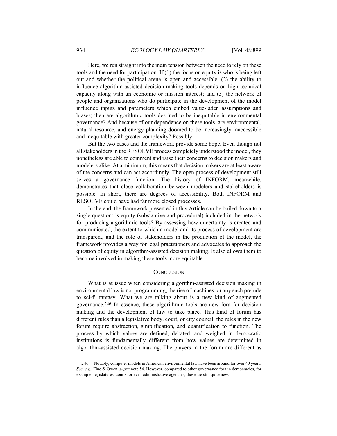Here, we run straight into the main tension between the need to rely on these tools and the need for participation. If  $(1)$  the focus on equity is who is being left out and whether the political arena is open and accessible; (2) the ability to influence algorithm-assisted decision-making tools depends on high technical capacity along with an economic or mission interest; and (3) the network of people and organizations who do participate in the development of the model influence inputs and parameters which embed value-laden assumptions and biases; then are algorithmic tools destined to be inequitable in environmental governance? And because of our dependence on these tools, are environmental, natural resource, and energy planning doomed to be increasingly inaccessible and inequitable with greater complexity? Possibly.

But the two cases and the framework provide some hope. Even though not all stakeholders in the RESOLVE process completely understood the model, they nonetheless are able to comment and raise their concerns to decision makers and modelers alike. At a minimum, this means that decision makers are at least aware of the concerns and can act accordingly. The open process of development still serves a governance function. The history of INFORM, meanwhile, demonstrates that close collaboration between modelers and stakeholders is possible. In short, there are degrees of accessibility. Both INFORM and RESOLVE could have had far more closed processes.

In the end, the framework presented in this Article can be boiled down to a single question: is equity (substantive and procedural) included in the network for producing algorithmic tools? By assessing how uncertainty is created and communicated, the extent to which a model and its process of development are transparent, and the role of stakeholders in the production of the model, the framework provides a way for legal practitioners and advocates to approach the question of equity in algorithm-assisted decision making. It also allows them to become involved in making these tools more equitable.

#### **CONCLUSION**

What is at issue when considering algorithm-assisted decision making in environmental law is not programming, the rise of machines, or any such prelude to sci-fi fantasy. What we are talking about is a new kind of augmented governance.246 In essence, these algorithmic tools are new fora for decision making and the development of law to take place. This kind of forum has different rules than a legislative body, court, or city council; the rules in the new forum require abstraction, simplification, and quantification to function. The process by which values are defined, debated, and weighed in democratic institutions is fundamentally different from how values are determined in algorithm-assisted decision making. The players in the forum are different as

<sup>246.</sup> Notably, computer models in American environmental law have been around for over 40 years. *See*, *e.g.*, Fine & Owen, *supra* note 54. However, compared to other governance fora in democracies, for example, legislatures, courts, or even administrative agencies, these are still quite new.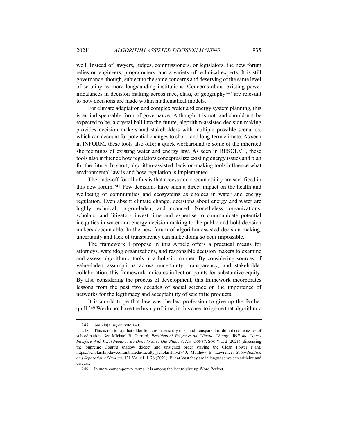well. Instead of lawyers, judges, commissioners, or legislators, the new forum relies on engineers, programmers, and a variety of technical experts. It is still governance, though, subject to the same concerns and deserving of the same level of scrutiny as more longstanding institutions. Concerns about existing power imbalances in decision making across race, class, or geography247 are relevant to how decisions are made within mathematical models.

For climate adaptation and complex water and energy system planning, this is an indispensable form of governance. Although it is not, and should not be expected to be, a crystal ball into the future, algorithm-assisted decision making provides decision makers and stakeholders with multiple possible scenarios, which can account for potential changes to short- and long-term climate. As seen in INFORM, these tools also offer a quick workaround to some of the inherited shortcomings of existing water and energy law. As seen in RESOLVE, these tools also influence how regulators conceptualize existing energy issues and plan for the future. In short, algorithm-assisted decision-making tools influence what environmental law is and how regulation is implemented.

The trade-off for all of us is that access and accountability are sacrificed in this new forum.248 Few decisions have such a direct impact on the health and wellbeing of communities and ecosystems as choices in water and energy regulation. Even absent climate change, decisions about energy and water are highly technical, jargon-laden, and nuanced. Nonetheless, organizations, scholars, and litigators invest time and expertise to communicate potential inequities in water and energy decision making to the public and hold decision makers accountable. In the new forum of algorithm-assisted decision making, uncertainty and lack of transparency can make doing so near impossible.

The framework I propose in this Article offers a practical means for attorneys, watchdog organizations, and responsible decision makers to examine and assess algorithmic tools in a holistic manner. By considering sources of value-laden assumptions across uncertainty, transparency, and stakeholder collaboration, this framework indicates inflection points for substantive equity. By also considering the process of development, this framework incorporates lessons from the past two decades of social science on the importance of networks for the legitimacy and acceptability of scientific products.

It is an old trope that law was the last profession to give up the feather quill.249 We do not have the luxury of time, in this case, to ignore that algorithmic

<sup>247.</sup> *See* Ziaja, *supra* note 140.

<sup>248.</sup> This is not to say that older fora are necessarily open and transparent or do not create issues of subordination. *See* Michael B. Gerrard, *Presidential Progress on Climate Change Will the Courts Interfere With What Needs to Be Done to Save Our Planet?*, AM. CONST. SOC'Y at 2 (2021) (discussing the Supreme Court's shadow docket and unsigned order staying the Clean Power Plan), https://scholarship.law.columbia.edu/faculty\_scholarship/2740; Matthew B. Lawrence, *Subordination and Separation of Powers*, 131 YALE L.J. 78 (2021). But at least they are in language we can criticize and discuss.

<sup>249.</sup> In more contemporary terms, it is among the last to give up Word Perfect.